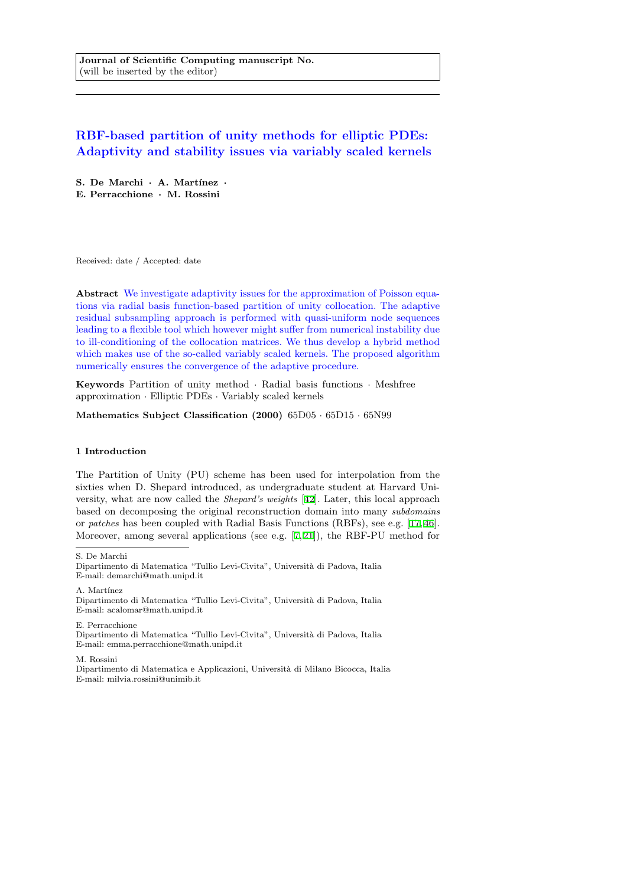**Journal of Scientific Computing manuscript No.** (will be inserted by the editor)

# **RBF-based partition of unity methods for elliptic PDEs: Adaptivity and stability issues via variably scaled kernels**

**S. De Marchi** *·* **A. Mart´ınez** *·* **E. Perracchione** *·* **M. Rossini**

Received: date / Accepted: date

**Abstract** We investigate adaptivity issues for the approximation of Poisson equations via radial basis function-based partition of unity collocation. The adaptive residual subsampling approach is performed with quasi-uniform node sequences leading to a flexible tool which however might suffer from numerical instability due to ill-conditioning of the collocation matrices. We thus develop a hybrid method which makes use of the so-called variably scaled kernels. The proposed algorithm numerically ensures the convergence of the adaptive procedure.

**Keywords** Partition of unity method *·* Radial basis functions *·* Meshfree approximation *·* Elliptic PDEs *·* Variably scaled kernels

**Mathematics Subject Classification (2000)** 65D05 *·* 65D15 *·* 65N99

#### **1 Introduction**

The Partition of Unity (PU) scheme has been used for interpolation from the sixties when D. Shepard introduced, as undergraduate student at Harvard University, what are now called the *Shepard's weights* [42]. Later, this local approach based on decomposing the original reconstruction domain into many *subdomains* or *patches* has been coupled with Radial Basis Functions (RBFs), see e.g. [17,46]. Moreover, among several applications (see e.g. [7,21]), the RBF-PU method for

S. De Marchi

A. Martínez

Dipartimento di Matematica "Tullio Levi-Civita", Universit`a di Padova, Italia E-mail: acalomar@math.unipd.it

E. Perracchione Dipartimento di Matematica "Tullio Levi-Civita", Università di Padova, Italia E-mail: emma.perracchione@math.unipd.it

M. Rossini

Dipartimento di Matematica e Applicazioni, Universit`a di Milano Bicocca, Italia E-mail: milvia.rossini@unimib.it

Dipartimento di Matematica "Tullio Levi-Civita", Università di Padova, Italia E-mail: demarchi@math.unipd.it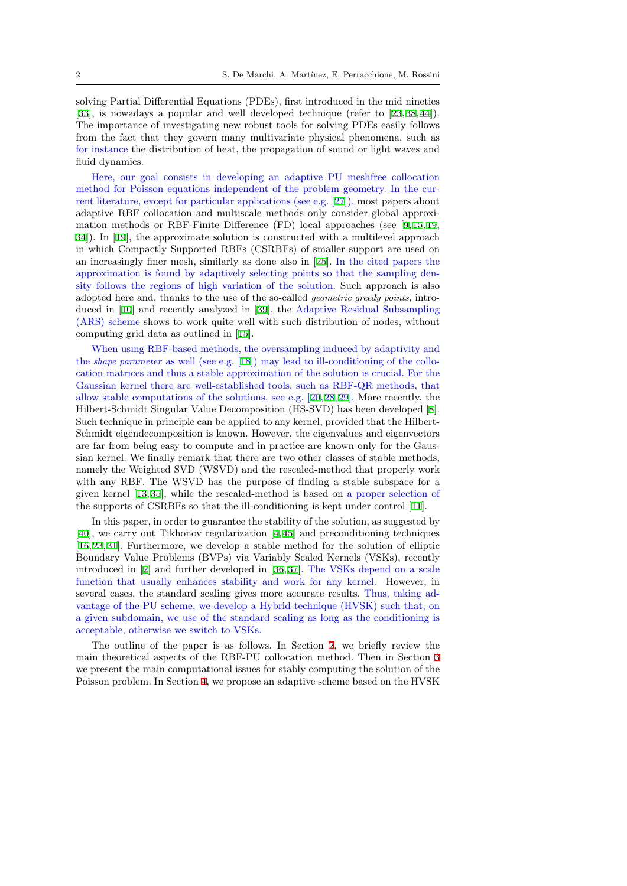solving Partial Differential Equations (PDEs), first introduced in the mid nineties [33], is nowadays a popular and well developed technique (refer to [23,38,44]). The importance of investigating new robust tools for solving PDEs easily follows from the fact that they govern many multivariate physical phenomena, such as for instance the distribution of heat, the propagation of sound or light waves and [flui](#page-24-0)d dynamics.

Here, our goal consists in developing an adaptive PU meshfree collocation method for Poisson equations independent of the problem geometry. In the current literature, except for particular applications (see e.g. [27]), most papers about adaptive RBF collocation and multiscale methods only consider global approximation methods or RBF-Finite Difference (FD) local approaches (see [9,15,19, 34]). In [19], the approximate solution is constructed with a multilevel approach in which Compactly Supported RBFs (CSRBFs) of smal[ler](#page-24-1) support are used on an increasingly finer mesh, similarly as done also in [25]. In the cited papers the approximation is found by adaptively selecting points so that the sampl[in](#page-23-0)[g d](#page-23-1)[en](#page-23-2)[sit](#page-24-2)y follo[ws](#page-23-2) the regions of high variation of the solution. Such approach is also adopted here and, thanks to the use of the so-called *geometric greedy points*, introduced in [10] and recently analyzed in [39], the Ada[pti](#page-23-3)ve Residual Subsampling (ARS) scheme shows to work quite well with such distribution of nodes, without computing grid data as outlined in [15].

When using RBF-based methods, the oversampling induced by adaptivity and the *shape [par](#page-23-4)ameter* as well (see e.g. [18][\) m](#page-24-3)ay lead to ill-conditioning of the collocation matrices and thus a stable approximation of the solution is crucial. For the Gaussian kernel there are well-esta[blish](#page-23-1)ed tools, such as RBF-QR methods, that allow stable computations of the solutions, see e.g. [20,28,29]. More recently, the Hilbert-Schmidt Singular Value Dec[omp](#page-23-5)osition (HS-SVD) has been developed [8]. Such technique in principle can be applied to any kernel, provided that the Hilbert-Schmidt eigendecomposition is known. However, the eigenvalues and eigenvectors are far from being easy to compute and in practice [are](#page-23-6) [kn](#page-24-4)[own](#page-24-5) only for the Gaussian kernel. We finally remark that there are two other classes of stable metho[ds](#page-23-7), namely the Weighted SVD (WSVD) and the rescaled-method that properly work with any RBF. The WSVD has the purpose of finding a stable subspace for a given kernel [13,35], while the rescaled-method is based on a proper selection of the supports of CSRBFs so that the ill-conditioning is kept under control [11].

In this paper, in order to guarantee the stability of the solution, as suggested by [40], we carry out Tikhonov regularization [4,45] and preconditioning techniques [16,23,31]. F[urt](#page-23-8)[herm](#page-24-6)ore, we develop a stable method for the solution of elliptic Boundary Value Problems (BVPs) via Variably Scaled Kernels (VSKs), r[ecen](#page-23-9)tly introduced in [2] and further developed in [36,37]. The VSKs depend on a scale f[un](#page-24-7)ction that usually enhances stability an[d](#page-23-10) [wo](#page-24-8)rk for any kernel. However, in [sev](#page-23-11)[era](#page-23-12)l [ca](#page-24-9)ses, the standard scaling gives more accurate results. Thus, taking advantage of the PU scheme, we develop a Hybrid technique (HVSK) such that, on a given subdo[ma](#page-23-13)in, we use of the standard [sca](#page-24-10)[lin](#page-24-11)g as long as the conditioning is acceptable, otherwise we switch to VSKs.

The outline of the paper is as follows. In Section 2, we briefly review the main theoretical aspects of the RBF-PU collocation method. Then in Section 3 we present the main computational issues for stably computing the solution of the Poisson problem. In Section 4, we propose an adaptive scheme based on the HVSK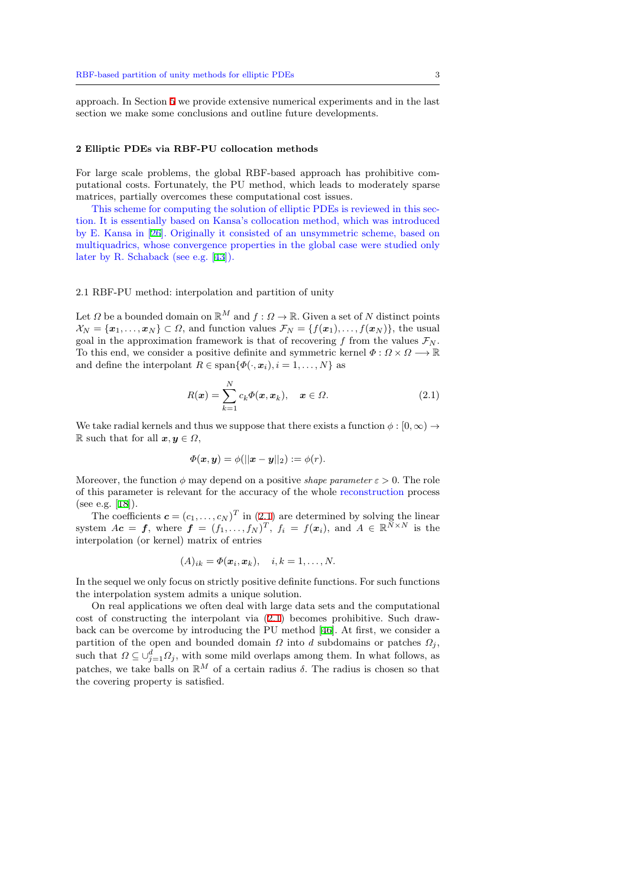approach. In Section 5 we provide extensive numerical experiments and in the last section we make some conclusions and outline future developments.

#### **2 Elliptic PDEs vi[a R](#page-12-0)BF-PU collocation methods**

For large scale problems, the global RBF-based approach has prohibitive computational costs. Fortunately, the PU method, which leads to moderately sparse matrices, partially overcomes these computational cost issues.

This scheme for computing the solution of elliptic PDEs is reviewed in this section. It is essentially based on Kansa's collocation method, which was introduced by E. Kansa in [26]. Originally it consisted of an unsymmetric scheme, based on multiquadrics, whose convergence properties in the global case were studied only later by R. Schaback (see e.g. [43]).

## 2.1 RBF-PU me[tho](#page-24-12)d: interpolation and partition of unity

Let  $\Omega$  be a bounded domain on  $\mathbb{R}^M$  $\mathbb{R}^M$  and  $f: \Omega \to \mathbb{R}$ . Given a set of  $N$  distinct points  $\mathcal{X}_N = \{x_1, \ldots, x_N\} \subset \Omega$ , and function values  $\mathcal{F}_N = \{f(x_1), \ldots, f(x_N)\}$ , the usual goal in the approximation framework is that of recovering  $f$  from the values  $\mathcal{F}_N$ . To this end, we consider a positive definite and symmetric kernel *Φ* : *Ω × Ω −→* R and define the interpolant  $R \in \text{span}\{\Phi(\cdot, \mathbf{x}_i), i = 1, \ldots, N\}$  as

$$
R(\boldsymbol{x}) = \sum_{k=1}^{N} c_k \Phi(\boldsymbol{x}, \boldsymbol{x}_k), \quad \boldsymbol{x} \in \Omega.
$$
 (2.1)

We take radial kernels and thus we suppose that there exists a function  $\phi : [0, \infty) \to$ R such that for all  $x, y \in \Omega$ ,

<span id="page-2-0"></span>
$$
\varPhi(\boldsymbol{x},\boldsymbol{y})=\phi(||\boldsymbol{x}-\boldsymbol{y}||_2):=\phi(r).
$$

Moreover, the function  $\phi$  may depend on a positive *shape parameter*  $\varepsilon > 0$ . The role of this parameter is relevant for the accuracy of the whole reconstruction process (see e.g. [18]).

The coefficients  $\mathbf{c} = (c_1, \ldots, c_N)^T$  in (2.1) are determined by solving the linear system  $A\mathbf{c} = \mathbf{f}$ , where  $\mathbf{f} = (f_1, \ldots, f_N)^T$ ,  $f_i = f(\mathbf{x}_i)$ , and  $A \in \mathbb{R}^{N \times N}$  is the interpolation (or kernel) matrix of entries

$$
(A)_{ik} = \Phi(\boldsymbol{x}_i, \boldsymbol{x}_k), \quad i, k = 1, \dots, N.
$$

In the sequel we only focus on strictly positive definite functions. For such functions the interpolation system admits a unique solution.

On real applications we often deal with large data sets and the computational cost of constructing the interpolant via (2.1) becomes prohibitive. Such drawback can be overcome by introducing the PU method [46]. At first, we consider a partition of the open and bounded domain  $\Omega$  into  $d$  subdomains or patches  $\Omega_j$ , such that  $\Omega \subseteq \bigcup_{j=1}^d \Omega_j$ , with some mild overlaps among them. In what follows, as patches, we take balls on  $\mathbb{R}^M$  of a certain [rad](#page-2-0)ius  $\delta$ . The radius is chosen so that the covering property is satisfied.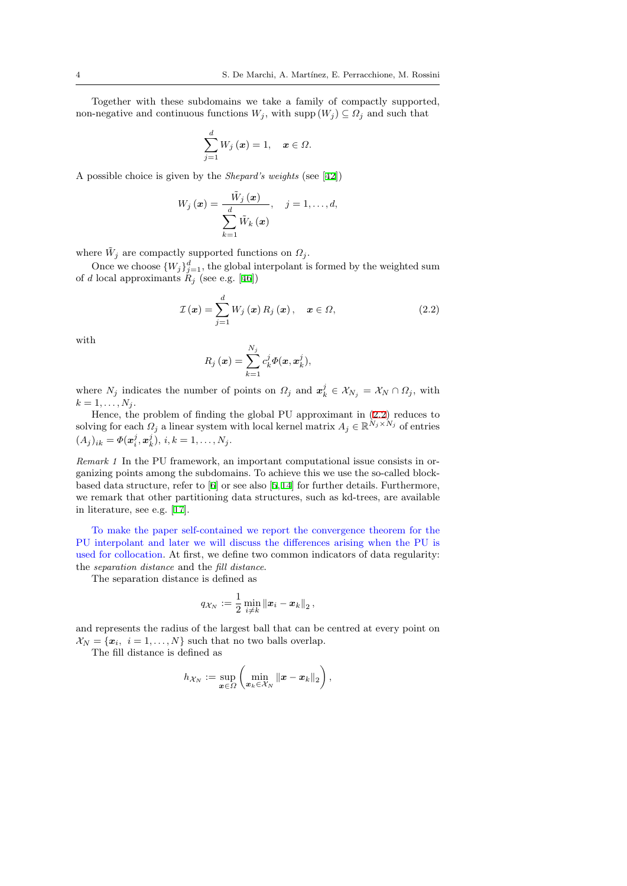Together with these subdomains we take a family of compactly supported, non-negative and continuous functions  $W_j$ , with supp  $(W_j) \subseteq \Omega_j$  and such that

$$
\sum_{j=1}^{d} W_j(\boldsymbol{x}) = 1, \quad \boldsymbol{x} \in \Omega.
$$

A possible choice is given by the *Shepard's weights* (see [42])

$$
W_j(\boldsymbol{x}) = \frac{\tilde{W}_j(\boldsymbol{x})}{\sum_{k=1}^d \tilde{W}_k(\boldsymbol{x})}, \quad j = 1, \dots, d,
$$

where  $\tilde{W}_j$  are compactly supported functions on  $\Omega_j$ .

Once we choose  $\{W_j\}_{j=1}^d$ , the global interpolant is formed by the weighted sum of *d* local approximants  $R_j$  (see e.g. [46])

$$
\mathcal{I}(\boldsymbol{x}) = \sum_{j=1}^{d} W_j(\boldsymbol{x}) R_j(\boldsymbol{x}), \quad \boldsymbol{x} \in \Omega,
$$
\n(2.2)

with

<span id="page-3-0"></span>
$$
R_j(\boldsymbol{x}) = \sum_{k=1}^{N_j} c_k^j \Phi(\boldsymbol{x}, \boldsymbol{x}_k^j),
$$

where  $N_j$  indicates the number of points on  $\Omega_j$  and  $\mathbf{x}_k^j \in \mathcal{X}_{N_j} = \mathcal{X}_N \cap \Omega_j$ , with  $k = 1, \ldots, N_j$ .

Hence, the problem of finding the global PU approximant in (2.2) reduces to  $S(\text{olving for each } \Omega_j \text{ a linear system with local kernel matrix } A_j \in \mathbb{R}^{N_j \times N_j}$  of entries  $(A_j)_{ik} = \Phi(\mathbf{x}_i^j, \mathbf{x}_k^j), i, k = 1, \dots, N_j.$ 

*Remark 1* In the PU framework, an important computational issu[e co](#page-3-0)nsists in organizing points among the subdomains. To achieve this we use the so-called blockbased data structure, refer to [6] or see also [5,14] for further details. Furthermore, we remark that other partitioning data structures, such as kd-trees, are available in literature, see e.g. [17].

To make the paper self-contained we report the convergence theorem for the PU interpolant and later we [w](#page-23-14)ill discuss t[he](#page-23-15) [di](#page-23-16)fferences arising when the PU is used for collocation. At first, we define two common indicators of data regularity: the *separation distance* [an](#page-23-17)d the *fill distance*.

The separation distance is defined as

$$
q_{\mathcal{X}_N} := \frac{1}{2} \min_{i \neq k} \|\boldsymbol{x}_i - \boldsymbol{x}_k\|_2,
$$

and represents the radius of the largest ball that can be centred at every point on  $X_N = \{x_i, i = 1, ..., N\}$  such that no two balls overlap.

The fill distance is defined as

$$
h_{\mathcal{X}_N} := \sup_{\boldsymbol{x}\in\varOmega} \left( \min_{\boldsymbol{x}_k\in\mathcal{X}_N} \left\| \boldsymbol{x} - \boldsymbol{x}_k \right\|_2 \right),
$$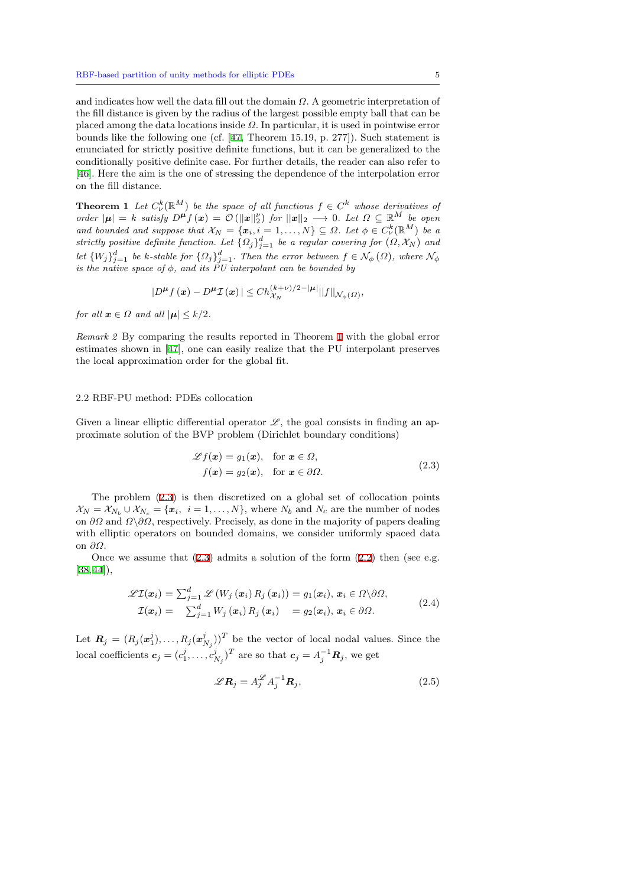and indicates how well the data fill out the domain *Ω*. A geometric interpretation of the fill distance is given by the radius of the largest possible empty ball that can be placed among the data locations inside *Ω*. In particular, it is used in pointwise error bounds like the following one (cf. [47, Theorem 15.19, p. 277]). Such statement is enunciated for strictly positive definite functions, but it can be generalized to the conditionally positive definite case. For further details, the reader can also refer to [46]. Here the aim is the one of stressing the dependence of the interpolation error on the fill distance.

**Theorem 1** *Let*  $C^k_{\nu}(\mathbb{R}^M)$  *be the space of all functions*  $f \in C^k$  *whose derivatives of* order  $|\mu| = k$  satisfy  $D^{\mu} f(x) = \mathcal{O}(|x||_2^{\nu})$  for  $||x||_2 \rightarrow 0$ . Let  $\Omega \subseteq \mathbb{R}^M$  be open *[and](#page-24-14) bounded and suppose that*  $\mathcal{X}_N = \{x_i, i = 1, ..., N\} \subseteq \Omega$ *. Let*  $\phi \in C^k_{\nu}(\mathbb{R}^M)$  *be a strictly positive definite function. Let*  $\{\Omega_j\}_{j=1}^d$  *be a regular covering for*  $(\Omega, \mathcal{X}_N)$  *and* let  $\{W_j\}_{j=1}^d$  be k-stable for  $\{\Omega_j\}_{j=1}^d$ . Then the error between  $f \in \mathcal{N}_{\phi}(\Omega)$ , where  $\mathcal{N}_{\phi}$ *is the native space of ϕ, and its PU interpolant can be bounded by*

<span id="page-4-3"></span>
$$
|D^{\boldsymbol{\mu}}f(\boldsymbol{x})-D^{\boldsymbol{\mu}}\mathcal{I}(\boldsymbol{x})|\leq Ch_{\mathcal{X}_N}^{(k+\nu)/2-|\boldsymbol{\mu}|}||f||_{\mathcal{N}_{\phi}(\Omega)},
$$

*for all*  $x \in \Omega$  *and all*  $|\mu| \leq k/2$ *.* 

*Remark 2* By comparing the results reported in Theorem 1 with the global error estimates shown in [47], one can easily realize that the PU interpolant preserves the local approximation order for the global fit.

## 2.2 RBF-PU metho[d: P](#page-24-15)DEs collocation

Given a linear elliptic differential operator  $\mathscr{L}$ , the goal consists in finding an approximate solution of the BVP problem (Dirichlet boundary conditions)

<span id="page-4-0"></span>
$$
\mathcal{L}f(\mathbf{x}) = g_1(\mathbf{x}), \text{ for } \mathbf{x} \in \Omega,
$$
  

$$
f(\mathbf{x}) = g_2(\mathbf{x}), \text{ for } \mathbf{x} \in \partial\Omega.
$$
 (2.3)

The problem (2.3) is then discretized on a global set of collocation points  $\mathcal{X}_N = \mathcal{X}_{N_b} \cup \mathcal{X}_{N_c} = \{\mathbf{x}_i, i = 1, \dots, N\}$ , where  $N_b$  and  $N_c$  are the number of nodes on *∂Ω* and *Ω\∂Ω*, respectively. Precisely, as done in the majority of papers dealing with elliptic operators on bounded domains, we consider uniformly spaced data on *∂Ω*.

Once we assu[me t](#page-4-0)hat  $(2.3)$  admits a solution of the form  $(2.2)$  then (see e.g.  $|38,44|,$ 

$$
\mathscr{L} \mathcal{I}(\boldsymbol{x}_i) = \sum_{j=1}^d \mathscr{L} (W_j(\boldsymbol{x}_i) R_j(\boldsymbol{x}_i)) = g_1(\boldsymbol{x}_i), \, \boldsymbol{x}_i \in \Omega \backslash \partial \Omega, \mathcal{I}(\boldsymbol{x}_i) = \sum_{j=1}^d W_j(\boldsymbol{x}_i) R_j(\boldsymbol{x}_i) = g_2(\boldsymbol{x}_i), \, \boldsymbol{x}_i \in \partial \Omega.
$$
\n(2.4)

<span id="page-4-1"></span>Let  $\mathbf{R}_j = (R_j(\boldsymbol{x}_1^j), \dots, R_j(\boldsymbol{x}_{N_j}^j))^T$  be the vector of local nodal values. Since the  $\text{local coefficients } c_j = (c_1^j, \ldots, c_{N_j}^j)^T$  are so that  $c_j = A_j^{-1}R_j$ , we get

<span id="page-4-2"></span>
$$
\mathscr{L}\mathbf{R}_j = A_j^{\mathscr{L}} A_j^{-1} \mathbf{R}_j,\tag{2.5}
$$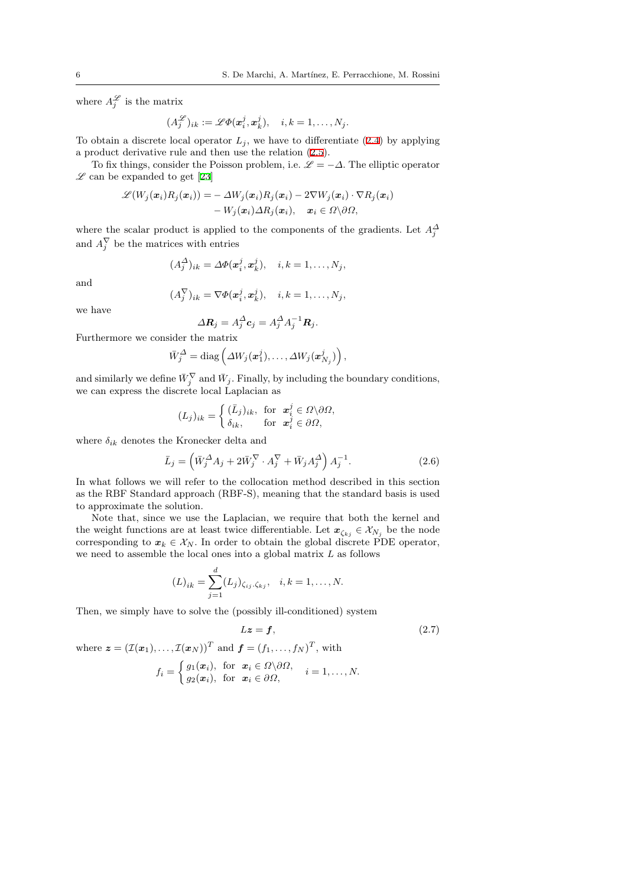where  $A_j^{\mathscr{L}}$  is the matrix

$$
(A_j^{\mathscr{L}})_{ik} := \mathscr{L}\Phi(\mathbf{x}_i^j, \mathbf{x}_k^j), \quad i, k = 1, \ldots, N_j.
$$

To obtain a discrete local operator  $L_j$ , we have to differentiate (2.4) by applying a product derivative rule and then use the relation (2.5).

To fix things, consider the Poisson problem, i.e.  $\mathscr{L} = -\Delta$ . The elliptic operator  $\mathscr{L}$  can be expanded to get [23]

$$
\begin{aligned} \mathscr{L}(W_j(\boldsymbol{x}_i)R_j(\boldsymbol{x}_i))&=-\varDelta W_j(\boldsymbol{x}_i)R_j(\boldsymbol{x}_i)-2\nabla W_j(\boldsymbol{x}_i)\cdot \nabla R_j(\boldsymbol{x}_i)\\ &-W_j(\boldsymbol{x}_i)\varDelta R_j(\boldsymbol{x}_i),\quad \boldsymbol{x}_i\in\varOmega\backslash\partial\varOmega,\end{aligned}
$$

where the scalar product is [ap](#page-23-12)plied to the components of the gradients. Let  $A_j^{\Delta}$ and  $A_j^V$  be the matrices with entries

$$
(A_j^{\Delta})_{ik} = \Delta \Phi(\mathbf{x}_i^j, \mathbf{x}_k^j), \quad i, k = 1, \dots, N_j,
$$

and

$$
(A_j^{\nabla})_{ik} = \nabla \Phi(\mathbf{x}_i^j, \mathbf{x}_k^j), \quad i, k = 1, \dots, N_j,
$$

we have

$$
\Delta \mathbf{R}_j = A_j^{\Delta} \mathbf{c}_j = A_j^{\Delta} A_j^{-1} \mathbf{R}_j.
$$

Furthermore we consider the matrix

$$
\bar{W}_j^{\Delta} = \text{diag}\left(\Delta W_j(\boldsymbol{x}_1^j), \ldots, \Delta W_j(\boldsymbol{x}_{N_j}^j)\right),
$$

and similarly we define  $\bar{W}_j^{\nabla}$  and  $\bar{W}_j$ . Finally, by including the boundary conditions, we can express the discrete local Laplacian as

$$
(L_j)_{ik} = \begin{cases} (\bar{L}_j)_{ik}, & \text{for } x_i^j \in \Omega \backslash \partial \Omega, \\ \delta_{ik}, & \text{for } x_i^j \in \partial \Omega, \end{cases}
$$

where  $\delta_{ik}$  denotes the Kronecker delta and

<span id="page-5-0"></span>
$$
\bar{L}_j = \left(\bar{W}_j^{\Delta} A_j + 2\bar{W}_j^{\nabla} \cdot A_j^{\nabla} + \bar{W}_j A_j^{\Delta}\right) A_j^{-1}.
$$
\n(2.6)

In what follows we will refer to the collocation method described in this section as the RBF Standard approach (RBF-S), meaning that the standard basis is used to approximate the solution.

Note that, since we use the Laplacian, we require that both the kernel and the weight functions are at least twice differentiable. Let  $x_{\zeta_{ki}} \in \mathcal{X}_{N_i}$  be the node corresponding to  $x_k \in \mathcal{X}_N$ . In order to obtain the global discrete PDE operator, we need to assemble the local ones into a global matrix *L* as follows

$$
(L)_{ik} = \sum_{j=1}^{d} (L_j)_{\zeta_{ij}, \zeta_{kj}}, \quad i, k = 1, \dots, N.
$$

Then, we simply have to solve the (possibly ill-conditioned) system

<span id="page-5-1"></span>
$$
Lz = f,\t\t(2.7)
$$

where  $\boldsymbol{z} = (\mathcal{I}(\boldsymbol{x}_1), \dots, \mathcal{I}(\boldsymbol{x}_N))^T$  and  $\boldsymbol{f} = (f_1, \dots, f_N)^T$ , with

$$
f_i = \begin{cases} g_1(\boldsymbol{x}_i), & \text{for } \boldsymbol{x}_i \in \Omega \backslash \partial \Omega, \\ g_2(\boldsymbol{x}_i), & \text{for } \boldsymbol{x}_i \in \partial \Omega, \end{cases} \quad i = 1, \ldots, N.
$$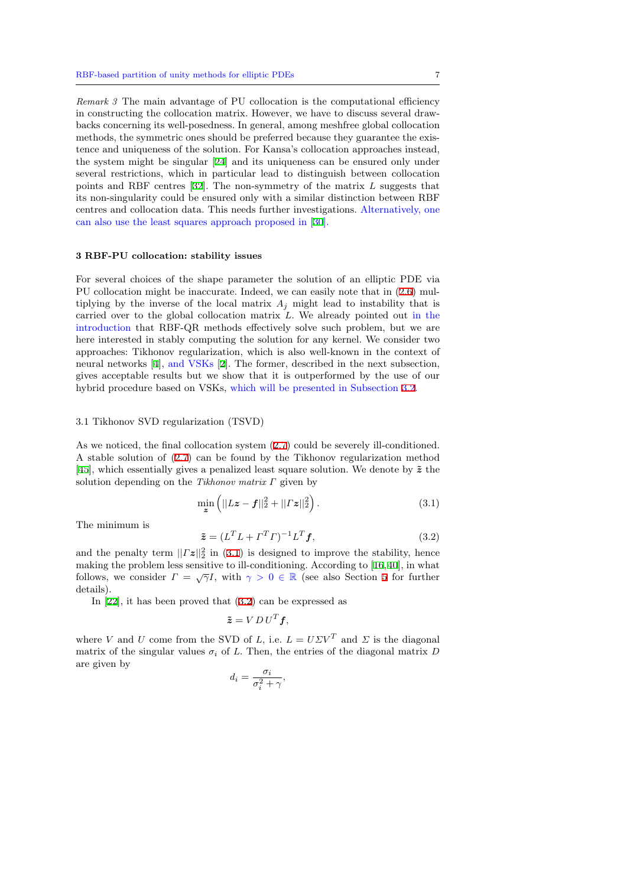*Remark 3* The main advantage of PU collocation is the computational efficiency in constructing the collocation matrix. However, we have to discuss several drawbacks concerning its well-posedness. In general, among meshfree global collocation methods, the symmetric ones should be preferred because they guarantee the existence and uniqueness of the solution. For Kansa's collocation approaches instead, the system might be singular [24] and its uniqueness can be ensured only under several restrictions, which in particular lead to distinguish between collocation points and RBF centres [32]. The non-symmetry of the matrix *L* suggests that its non-singularity could be ensured only with a similar distinction between RBF centres and collocation data. [This](#page-23-18) needs further investigations. Alternatively, one can also use the least squares approach proposed in [30].

#### **3 RBF-PU collocation: stability issues**

For several choices of the shape parameter the sol[utio](#page-24-16)n of an elliptic PDE via PU collocation might be inaccurate. Indeed, we can easily note that in (2.6) multiplying by the inverse of the local matrix  $A_j$  might lead to instability that is carried over to the global collocation matrix *L*. We already pointed out in the introduction that RBF-QR methods effectively solve such problem, but we are here interested in stably computing the solution for any kernel. We con[side](#page-5-0)r two approaches: Tikhonov regularization, which is also well-known in the context of neural networks [4], and VSKs [2]. The former, described in the next subsection, gives acceptable results but we show that it is outperformed by the use of our hybrid procedure based on VSKs, which will be presented in Subsection 3.2.

## 3.1 Tikhonov SV[D](#page-23-10) regularizatio[n](#page-23-13) (TSVD)

As we noticed, the final collocation system (2.7) could be severely ill-con[diti](#page-7-0)oned. A stable solution of (2.7) can be found by the Tikhonov regularization method [45], which essentially gives a penalized least square solution. We denote by  $\tilde{z}$  the solution depending on the *Tikhonov matrix Γ* given by

$$
\min_{\mathbf{z}} \left( ||L\mathbf{z} - \mathbf{f}||_2^2 + ||\mathbf{\Gamma} \mathbf{z}||_2^2 \right). \tag{3.1}
$$

[Th](#page-24-8)e minimum is

<span id="page-6-0"></span>
$$
\tilde{\boldsymbol{z}} = (L^T L + \boldsymbol{\varGamma}^T \boldsymbol{\varGamma})^{-1} L^T \boldsymbol{f},\tag{3.2}
$$

and the penalty term  $||\Gamma z||_2^2$  in (3.1) is designed to improve the stability, hence making the problem less sensitive to ill-conditioning. According to [16,40], in what follows, we consider  $\Gamma = \sqrt{\gamma}I$ , with  $\gamma > 0 \in \mathbb{R}$  (see also Section 5 for further details).

In [22], it has been proved th[at \(3](#page-6-0).2) can be expressed as

<span id="page-6-1"></span>
$$
\tilde{\boldsymbol{z}} = V D U^T \boldsymbol{f},
$$

where *V* and *U* come from the SVD of *L*, i.e.  $L = U\Sigma V^T$  and  $\Sigma$  is the diagonal matrix [of](#page-23-19) the singular values  $\sigma_i$  of *L*[. T](#page-6-1)hen, the entries of the diagonal matrix *D* are given by

$$
d_i = \frac{\sigma_i}{\sigma_i^2 + \gamma},
$$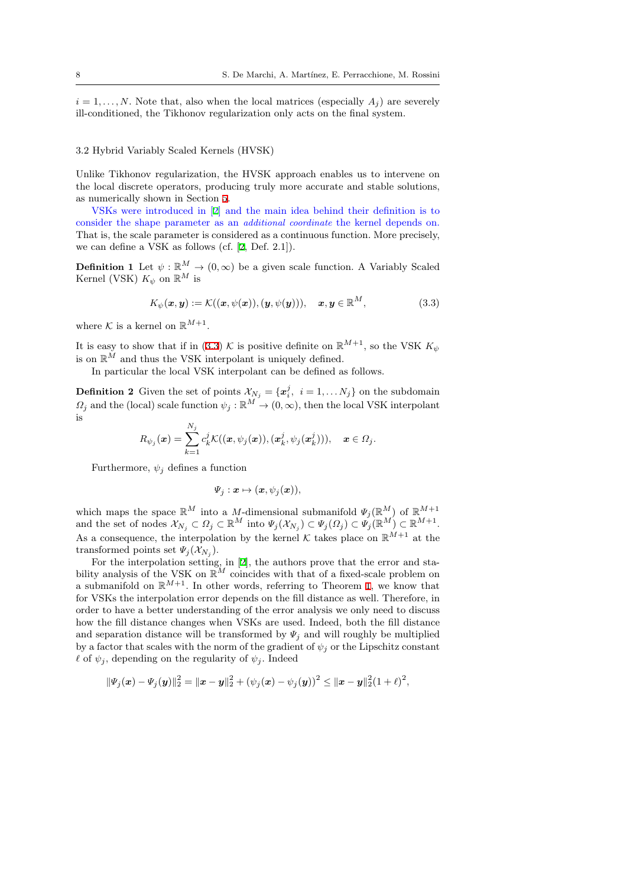$i = 1, \ldots, N$ . Note that, also when the local matrices (especially  $A_i$ ) are severely ill-conditioned, the Tikhonov regularization only acts on the final system.

## 3.2 Hybrid Variably Scaled Kernels (HVSK)

Unlike Tikhonov regularization, the HVSK approach enables us to intervene on the local discrete operators, producing truly more accurate and stable solutions, as numerically shown in Section 5.

<span id="page-7-0"></span>VSKs were introduced in [2] and the main idea behind their definition is to consider the shape parameter as an *additional coordinate* the kernel depends on. That is, the scale parameter is considered as a continuous function. More precisely, we can define a VSK as follows [\(cf](#page-12-0). [2, Def. 2.1]).

**Definition 1** Let  $\psi$  :  $\mathbb{R}^M \to (0, \infty)$  $\mathbb{R}^M \to (0, \infty)$  $\mathbb{R}^M \to (0, \infty)$  be a given scale function. A Variably Scaled Kernel (VSK)  $K_{\psi}$  on  $\mathbb{R}^M$  is

<span id="page-7-1"></span>
$$
K_{\psi}(\boldsymbol{x},\boldsymbol{y}) := \mathcal{K}((\boldsymbol{x},\psi(\boldsymbol{x})),(\boldsymbol{y},\psi(\boldsymbol{y}))), \quad \boldsymbol{x},\boldsymbol{y} \in \mathbb{R}^{M},
$$
\n(3.3)

where  $K$  is a kernel on  $\mathbb{R}^{M+1}$ .

It is easy to show that if in (3.3)  $K$  is positive definite on  $\mathbb{R}^{M+1}$ , so the VSK  $K_{\psi}$ is on  $\mathbb{R}^M$  and thus the VSK interpolant is uniquely defined.

In particular the local VSK interpolant can be defined as follows.

**Definition 2** Given the set [of p](#page-7-1)oints  $X_{N_j} = \{x_i^j, i = 1, ..., N_j\}$  on the subdomain  $\Omega_j$  and the (local) scale function  $\psi_j : \mathbb{R}^M \to (0, \infty)$ , then the local VSK interpolant is

$$
R_{\psi_j}(\boldsymbol{x}) = \sum_{k=1}^{N_j} c_k^j \mathcal{K}((\boldsymbol{x},\psi_j(\boldsymbol{x})),(\boldsymbol{x}_k^j,\psi_j(\boldsymbol{x}_k^j))), \quad \boldsymbol{x} \in \Omega_j.
$$

Furthermore,  $\psi_j$  defines a function

$$
\Psi_j: \boldsymbol{x} \mapsto (\boldsymbol{x}, \psi_j(\boldsymbol{x})),
$$

which maps the space  $\mathbb{R}^M$  into a *M*-dimensional submanifold  $\Psi_j(\mathbb{R}^M)$  of  $\mathbb{R}^{M+1}$ and the set of nodes  $\mathcal{X}_{N_j} \subset \Omega_j \subset \mathbb{R}^M$  into  $\Psi_j(\mathcal{X}_{N_j}) \subset \Psi_j(\Omega_j) \subset \Psi_j(\mathbb{R}^M) \subset \mathbb{R}^{M+1}$ . As a consequence, the interpolation by the kernel  $K$  takes place on  $\mathbb{R}^{M+1}$  at the transformed points set  $\Psi_j(\mathcal{X}_{N_j})$ .

For the interpolation setting, in [2], the authors prove that the error and stability analysis of the VSK on  $\mathbb{R}^M$  coincides with that of a fixed-scale problem on a submanifold on  $\mathbb{R}^{M+1}$ . In other words, referring to Theorem 1, we know that for VSKs the interpolation error depends on the fill distance as well. Therefore, in order to have a better understandin[g o](#page-23-13)f the error analysis we only need to discuss how the fill distance changes when VSKs are used. Indeed, both the fill distance and separation distance will be transformed by  $\Psi_i$  and will roug[hl](#page-4-3)y be multiplied by a factor that scales with the norm of the gradient of  $\psi_j$  or the Lipschitz constant  $\ell$  of  $\psi_j$ , depending on the regularity of  $\psi_j$ . Indeed

$$
\|\varPsi_j(\bm{x})-\varPsi_j(\bm{y})\|_2^2 = \|\bm{x}-\bm{y}\|_2^2 + (\psi_j(\bm{x})-\psi_j(\bm{y}))^2 \leq \|\bm{x}-\bm{y}\|_2^2(1+\ell)^2,
$$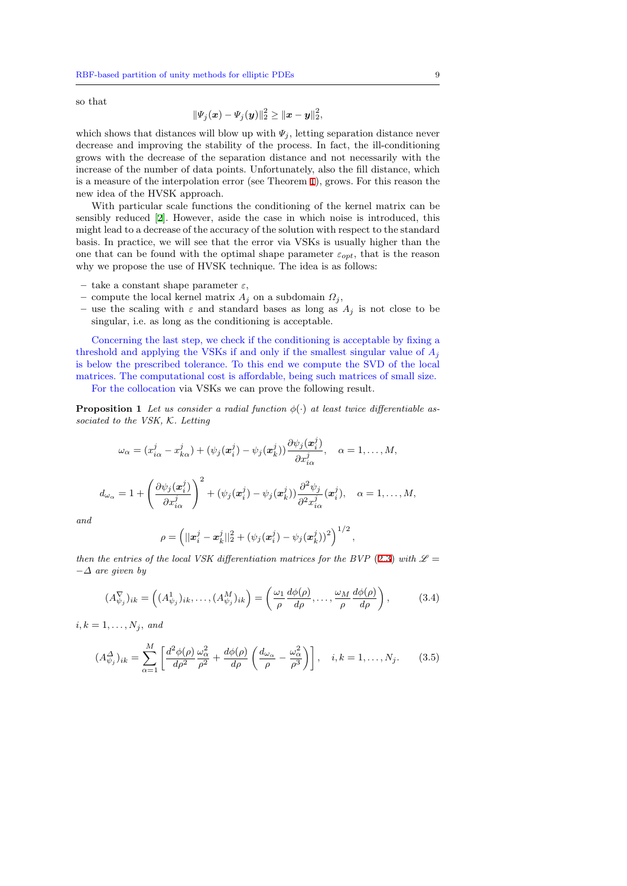so that

$$
\|\Psi_j(\bm{x}) - \Psi_j(\bm{y})\|_2^2 \geq \|\bm{x} - \bm{y}\|_2^2,
$$

which shows that distances will blow up with  $\Psi_j$ , letting separation distance never decrease and improving the stability of the process. In fact, the ill-conditioning grows with the decrease of the separation distance and not necessarily with the increase of the number of data points. Unfortunately, also the fill distance, which is a measure of the interpolation error (see Theorem 1), grows. For this reason the new idea of the HVSK approach.

With particular scale functions the conditioning of the kernel matrix can be sensibly reduced [2]. However, aside the case in which noise is introduced, this might lead to a decrease of the accuracy of the solutio[n](#page-4-3) with respect to the standard basis. In practice, we will see that the error via VSKs is usually higher than the one that can be found with the optimal shape parameter  $\varepsilon_{opt}$ , that is the reason why we propose t[he](#page-23-13) use of HVSK technique. The idea is as follows:

- **–** take a constant shape parameter *ε*,
- **–** compute the local kernel matrix *A<sup>j</sup>* on a subdomain *Ω<sup>j</sup>* ,
- **–** use the scaling with *ε* and standard bases as long as *A<sup>j</sup>* is not close to be singular, i.e. as long as the conditioning is acceptable.

Concerning the last step, we check if the conditioning is acceptable by fixing a threshold and applying the VSKs if and only if the smallest singular value of *A<sup>j</sup>* is below the prescribed tolerance. To this end we compute the SVD of the local matrices. The computational cost is affordable, being such matrices of small size.

For the collocation via VSKs we can prove the following result.

**Proposition 1** Let us consider a radial function  $\phi(\cdot)$  at least twice differentiable as*sociated to the VSK, K. Letting*

$$
\omega_{\alpha} = (x_{i\alpha}^j - x_{k\alpha}^j) + (\psi_j(\boldsymbol{x}_i^j) - \psi_j(\boldsymbol{x}_k^j))\frac{\partial \psi_j(\boldsymbol{x}_i^j)}{\partial x_{i\alpha}^j}, \quad \alpha = 1, \dots, M,
$$

$$
d_{\omega_{\alpha}} = 1 + \left(\frac{\partial \psi_j(\boldsymbol{x}_i^j)}{\partial x_{i\alpha}^j}\right)^2 + (\psi_j(\boldsymbol{x}_i^j) - \psi_j(\boldsymbol{x}_k^j)) \frac{\partial^2 \psi_j}{\partial^2 x_{i\alpha}^j}(\boldsymbol{x}_i^j), \quad \alpha = 1, \ldots, M,
$$

*and*

$$
\rho = \left( ||\boldsymbol{x}_i^j - \boldsymbol{x}_k^j||_2^2 + (\psi_j(\boldsymbol{x}_i^j) - \psi_j(\boldsymbol{x}_k^j))^2 \right)^{1/2},
$$

*then the entries of the local VSK differentiation matrices for the BVP* (2.3) with  $\mathcal{L} =$ *−∆ are given by*

$$
(A_{\psi_j}^{\nabla})_{ik} = \left( (A_{\psi_j}^1)_{ik}, \dots, (A_{\psi_j}^M)_{ik} \right) = \left( \frac{\omega_1}{\rho} \frac{d\phi(\rho)}{d\rho}, \dots, \frac{\omega_M}{\rho} \frac{d\phi(\rho)}{d\rho} \right), \tag{3.4}
$$

 $i, k = 1, \ldots, N_j, \text{ and}$ 

$$
(A^{\Delta}_{\psi_j})_{ik} = \sum_{\alpha=1}^{M} \left[ \frac{d^2 \phi(\rho)}{d\rho^2} \frac{\omega_{\alpha}^2}{\rho^2} + \frac{d\phi(\rho)}{d\rho} \left( \frac{d_{\omega_{\alpha}}}{\rho} - \frac{\omega_{\alpha}^2}{\rho^3} \right) \right], \quad i, k = 1, \dots, N_j. \tag{3.5}
$$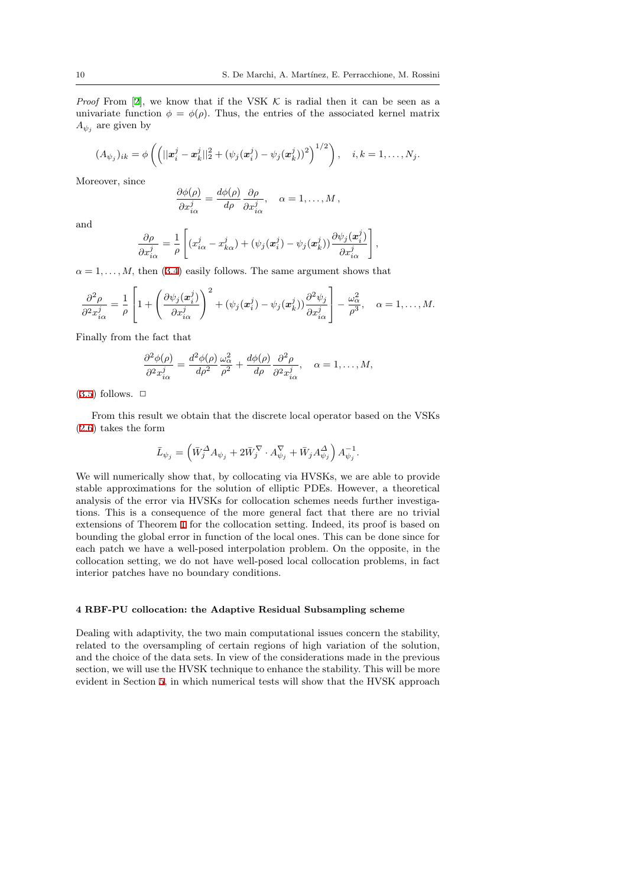*Proof* From [2], we know that if the VSK  $K$  is radial then it can be seen as a univariate function  $\phi = \phi(\rho)$ . Thus, the entries of the associated kernel matrix  $A_{\psi_j}$  are given by

$$
(A_{\psi_j})_{ik} = \phi \left( \left( ||\mathbf{x}_i^j - \mathbf{x}_k^j||_2^2 + (\psi_j(\mathbf{x}_i^j) - \psi_j(\mathbf{x}_k^j))^2 \right)^{1/2} \right), \quad i, k = 1, \ldots, N_j.
$$

Moreover, since

$$
\frac{\partial \phi(\rho)}{\partial x_{i\alpha}^j} = \frac{d\phi(\rho)}{d\rho} \frac{\partial \rho}{\partial x_{i\alpha}^j}, \quad \alpha = 1, \dots, M,
$$

and

$$
\frac{\partial \rho}{\partial x_{i\alpha}^j} = \frac{1}{\rho} \left[ (x_{i\alpha}^j - x_{k\alpha}^j) + (\psi_j(\mathbf{x}_i^j) - \psi_j(\mathbf{x}_k^j)) \frac{\partial \psi_j(\mathbf{x}_i^j)}{\partial x_{i\alpha}^j} \right],
$$

 $\alpha = 1, \ldots, M$ , then (3.4) easily follows. The same argument shows that

$$
\frac{\partial^2 \rho}{\partial^2 x_{i\alpha}^j} = \frac{1}{\rho} \left[ 1 + \left( \frac{\partial \psi_j(\boldsymbol{x}_i^j)}{\partial x_{i\alpha}^j} \right)^2 + (\psi_j(\boldsymbol{x}_i^j) - \psi_j(\boldsymbol{x}_k^j)) \frac{\partial^2 \psi_j}{\partial x_{i\alpha}^j} \right] - \frac{\omega_\alpha^2}{\rho^3}, \quad \alpha = 1, \dots, M.
$$

Finally from the fact that

$$
\frac{\partial^2 \phi(\rho)}{\partial^2 x_{i\alpha}^j} = \frac{d^2 \phi(\rho)}{d\rho^2} \frac{\omega_\alpha^2}{\rho^2} + \frac{d\phi(\rho)}{d\rho} \frac{\partial^2 \rho}{\partial^2 x_{i\alpha}^j}, \quad \alpha = 1, \dots, M,
$$

## $(3.5)$  follows.  $\Box$

From this result we obtain that the discrete local operator based on the VSKs (2.6) takes the form

$$
\bar{L}_{\psi_j} = \left( \bar{W}_j^{\Delta} A_{\psi_j} + 2 \bar{W}_j^{\nabla} \cdot A_{\psi_j}^{\nabla} + \bar{W}_j A_{\psi_j}^{\Delta} \right) A_{\psi_j}^{-1}.
$$

[We](#page-5-0) will numerically show that, by collocating via HVSKs, we are able to provide stable approximations for the solution of elliptic PDEs. However, a theoretical analysis of the error via HVSKs for collocation schemes needs further investigations. This is a consequence of the more general fact that there are no trivial extensions of Theorem 1 for the collocation setting. Indeed, its proof is based on bounding the global error in function of the local ones. This can be done since for each patch we have a well-posed interpolation problem. On the opposite, in the collocation setting, we do not have well-posed local collocation problems, in fact interior patches have n[o](#page-4-3) boundary conditions.

#### **4 RBF-PU collocation: the Adaptive Residual Subsampling scheme**

Dealing with adaptivity, the two main computational issues concern the stability, related to the oversampling of certain regions of high variation of the solution, and the choice of the data sets. In view of the considerations made in the previous section, we will use the HVSK technique to enhance the stability. This will be more evident in Section 5, in which numerical tests will show that the HVSK approach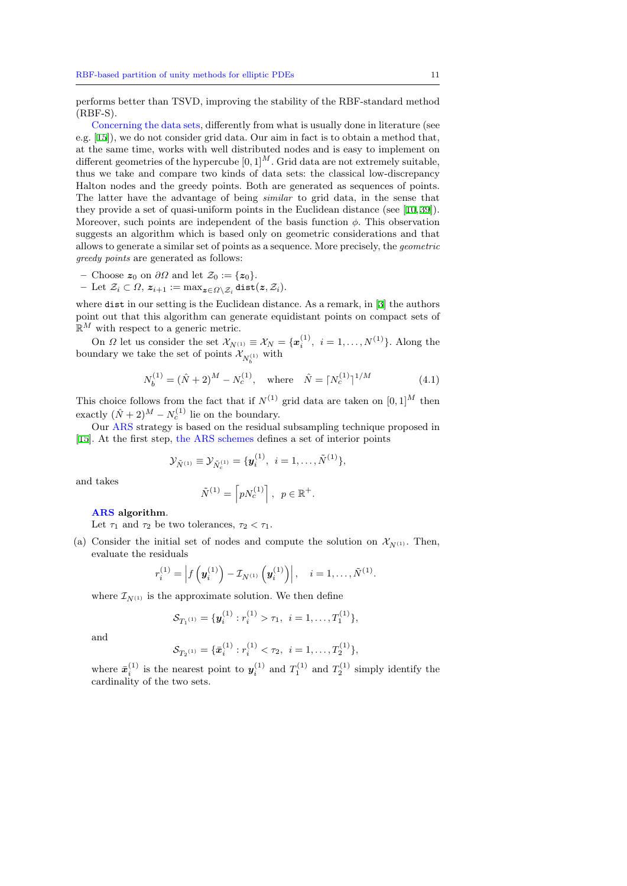performs better than TSVD, improving the stability of the RBF-standard method (RBF-S).

Concerning the data sets, differently from what is usually done in literature (see e.g. [15]), we do not consider grid data. Our aim in fact is to obtain a method that, at the same time, works with well distributed nodes and is easy to implement on different geometries of the hypercube  $[0,1]^M$ . Grid data are not extremely suitable, thus we take and compare two kinds of data sets: the classical low-discrepancy Halt[on](#page-23-1) nodes and the greedy points. Both are generated as sequences of points. The latter have the advantage of being *similar* to grid data, in the sense that they provide a set of quasi-uniform points in the Euclidean distance (see [10,39]). Moreover, such points are independent of the basis function *ϕ*. This observation suggests an algorithm which is based only on geometric considerations and that allows to generate a similar set of points as a sequence. More precisely, the *geometric greedy points* are generated as follows:

**–** Choose *z*<sup>0</sup> on *∂Ω* and let *Z*<sup>0</sup> := *{z*0*}*.

 $-$  Let  $\mathcal{Z}_i$  ⊂  $\Omega$ ,  $z_{i+1}$  := max<sub>z∈ $\Omega \setminus \mathcal{Z}_i$ </sub> dist $(z, \mathcal{Z}_i)$ .

where dist in our setting is the Euclidean distance. As a remark, in [3] the authors point out that this algorithm can generate equidistant points on compact sets of  $\mathbb{R}^M$  with respect to a generic metric.

On *Ω* let us consider the set  $\mathcal{X}_{N^{(1)}} \equiv \mathcal{X}_N = {\mathbf{x}_{i}^{(1)}, i = 1, ..., N^{(1)}}$ . Along the boundary we take the set of points  $\mathcal{X}_{N_b^{(1)}}$  with

$$
N_b^{(1)} = (\hat{N} + 2)^M - N_c^{(1)}, \text{ where } \hat{N} = \lceil N_c^{(1)} \rceil^{1/M} \tag{4.1}
$$

This choice follows from the fact that if  $N^{(1)}$  grid data are taken on  $[0,1]^M$  then exactly  $(\hat{N} + 2)^M - N_c^{(1)}$  lie on the boundary.

Our ARS strategy is based on the residual subsampling technique proposed in [15]. At the first step, the ARS schemes defines a set of interior points

<span id="page-10-0"></span>
$$
\mathcal{Y}_{\tilde{N}^{(1)}} \equiv \mathcal{Y}_{\tilde{N}_c^{(1)}} = \{ \boldsymbol{y}_i^{(1)}, \, i = 1, \ldots, \tilde{N}^{(1)} \},
$$

and takes

$$
\tilde{N}^{(1)} = \left\lceil pN_c^{(1)} \right\rceil, \ \ p \in \mathbb{R}^+.
$$

**ARS algorithm**.

Let  $\tau_1$  and  $\tau_2$  be two tolerances,  $\tau_2 < \tau_1$ .

(a) Consider the initial set of nodes and compute the solution on  $\mathcal{X}_{N^{(1)}}$ . Then, evaluate the residuals

$$
r_i^{(1)} = \left| f\left(\mathbf{y}_i^{(1)}\right) - \mathcal{I}_{N^{(1)}}\left(\mathbf{y}_i^{(1)}\right) \right|, \quad i = 1, \ldots, \tilde{N}^{(1)}.
$$

where  $\mathcal{I}_{N^{(1)}}$  is the approximate solution. We then define

$$
\mathcal{S}_{T_1^{(1)}} = \{ \mathbf{y}_i^{(1)} : r_i^{(1)} > \tau_1, \ i = 1, \dots, T_1^{(1)} \},
$$

and

$$
\mathcal{S}_{T_2^{(1)}} = \{ \bar{x}_i^{(1)} : r_i^{(1)} < \tau_2, \ i = 1, \dots, T_2^{(1)} \},
$$

where  $\bar{x}_i^{(1)}$  is the nearest point to  $y_i^{(1)}$  and  $T_1^{(1)}$  and  $T_2^{(1)}$  simply identify the cardinality of the two sets.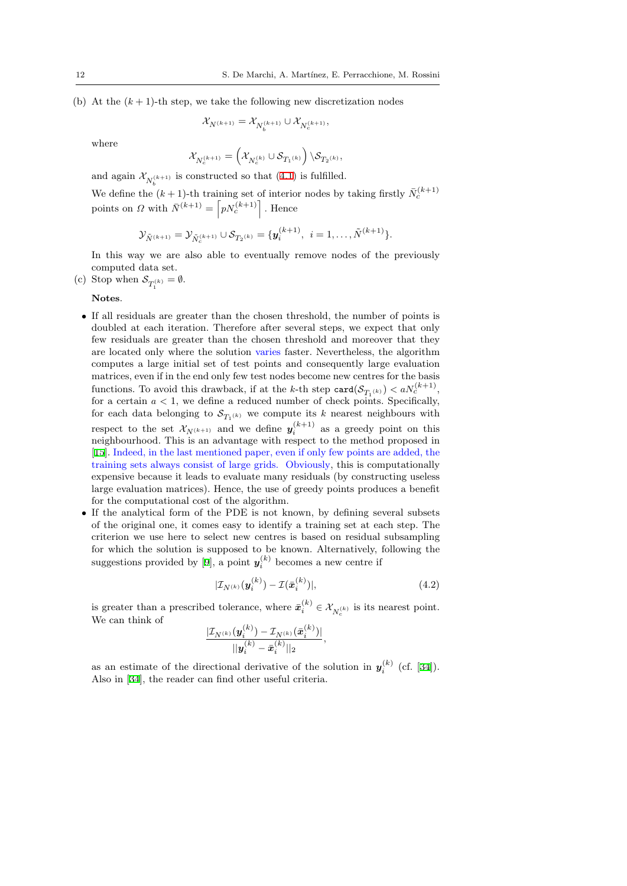(b) At the  $(k+1)$ -th step, we take the following new discretization nodes

$$
\mathcal{X}_{N^{(k+1)}}=\mathcal{X}_{N_{b}^{(k+1)}}\cup \mathcal{X}_{N_{c}^{(k+1)}},
$$

where

$$
\mathcal{X}_{N_c^{(k+1)}} = \left(\mathcal{X}_{N_c^{(k)}} \cup \mathcal{S}_{T_1^{(k)}}\right) \backslash \mathcal{S}_{T_2^{(k)}},
$$

and again  $\mathcal{X}_{N_h^{(k+1)}}$  is constructed so that (4.1) is fulfilled.

We define the  $(k+1)$ -th training set of interior nodes by taking firstly  $\bar{N}_c^{(k+1)}$ points on *Ω* with  $\bar{N}^{(k+1)} = \lceil pN_c^{(k+1)} \rceil$ . Hence

$$
\mathcal{Y}_{\tilde{N}^{(k+1)}} = \mathcal{Y}_{\tilde{N}_{c}^{(k+1)}} \cup \mathcal{S}_{T_2(k)} = \{ \pmb{y}_{i}^{(k+1)}, \ i = 1, \ldots, \tilde{N}^{(k+1)} \}.
$$

In this way we are also able to eventually remove nodes of the previously computed data set.

(c) Stop when  $S_{T_1^{(k)}} = \emptyset$ .

**Notes**.

- If all residuals are greater than the chosen threshold, the number of points is doubled at each iteration. Therefore after several steps, we expect that only few residuals are greater than the chosen threshold and moreover that they are located only where the solution varies faster. Nevertheless, the algorithm computes a large initial set of test points and consequently large evaluation matrices, even if in the end only few test nodes become new centres for the basis functions. To avoid this drawback, if at the *k*-th step  $\text{card}(\mathcal{S}_{T_1(k)}) < aN_c^{(k+1)}$ , for a certain *a <* 1, we define a reduced number of check points. Specifically, for each data belonging to  $S_{T_1(k)}$  we compute its *k* nearest neighbours with respect to the set  $\mathcal{X}_{N^{(k+1)}}$  and we define  $y_i^{(k+1)}$  as a greedy point on this neighbourhood. This is an advantage with respect to the method proposed in [15]. Indeed, in the last mentioned paper, even if only few points are added, the training sets always consist of large grids. Obviously, this is computationally expensive because it leads to evaluate many residuals (by constructing useless large evaluation matrices). Hence, the use of greedy points produces a benefit f[or](#page-23-1) the computational cost of the algorithm.
- If the analytical form of the PDE is not known, by defining several subsets of the original one, it comes easy to identify a training set at each step. The criterion we use here to select new centres is based on residual subsampling for which the solution is supposed to be known. Alternatively, following the suggestions provided by [9], a point  $y_i^{(k)}$  becomes a new centre if

$$
|\mathcal{I}_{N^{(k)}}(\boldsymbol{y}_i^{(k)}) - \mathcal{I}(\bar{\boldsymbol{x}}_i^{(k)})|, \tag{4.2}
$$

*,*

is greater than a prescri[bed](#page-23-0) tolerance, where  $\bar{x}_i^{(k)} \in \mathcal{X}_{N_c^{(k)}}$  is its nearest point. We can think of

<span id="page-11-0"></span>
$$
\frac{|\mathcal{I}_{N^{(k)}}(\pmb{y}_{i}^{(k)}) - \mathcal{I}_{N^{(k)}}(\bar{\pmb{x}}_{i}^{(k)})|}{||\pmb{y}_{i}^{(k)} - \bar{\pmb{x}}_{i}^{(k)}||_{2}}
$$

as an estimate of the directional derivative of the solution in  $y_i^{(k)}$  (cf. [34]). Also in [34], the reader can find other useful criteria.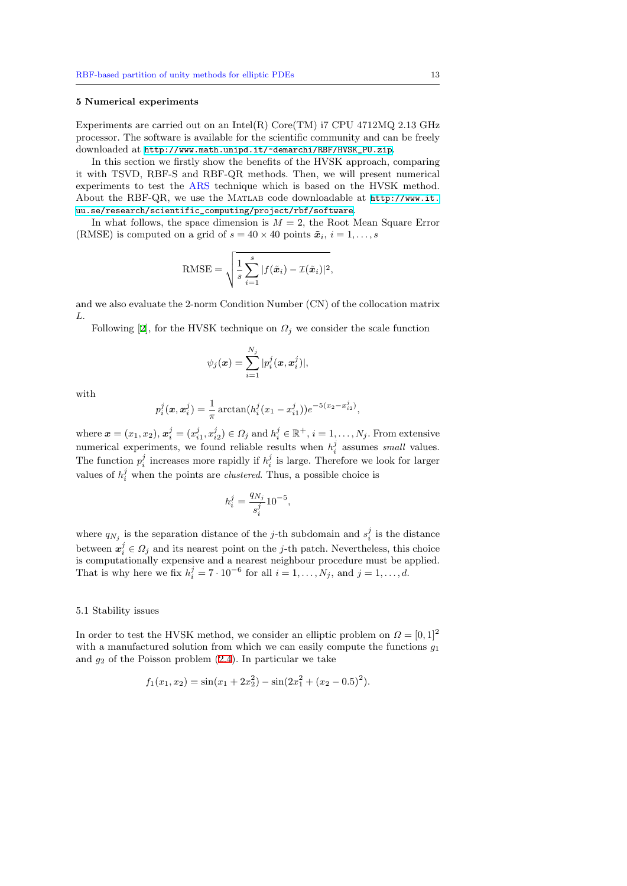#### **5 Numerical experiments**

Experiments are carried out on an Intel(R) Core(TM)  $i7$  CPU 4712MQ 2.13 GHz processor. The software is available for the scientific community and can be freely downloaded at http://www.math.unipd.it/~demarchi/RBF/HVSK\_PU.zip.

<span id="page-12-0"></span>In this section we firstly show the benefits of the HVSK approach, comparing it with TSVD, RBF-S and RBF-QR methods. Then, we will present numerical experiments to test the ARS technique which is based on the HVSK method. About the RBF-QR, we use the Matlab [code downloadable at](http://www.math.unipd.it/~demarchi/RBF/HVSK_PU.zip) http://www.it. uu.se/research/scientific\_computing/project/rbf/software.

In what follows, the space dimension is *M* = 2, the Root Mean Square Error (RMSE) is computed on a grid of  $s = 40 \times 40$  points  $\tilde{x}_i$ ,  $i = 1, \ldots, s$ 

RMSE = 
$$
\sqrt{\frac{1}{s}\sum_{i=1}^{s}|f(\tilde{\boldsymbol{x}}_i)-\mathcal{I}(\tilde{\boldsymbol{x}}_i)|^2},
$$

and we also evaluate the 2-norm Condition Number (CN) of the collocation matrix *L*.

Following [2], for the HVSK technique on  $\Omega_j$  we consider the scale function

$$
\psi_j(\boldsymbol{x}) = \sum_{i=1}^{N_j} |p_i^j(\boldsymbol{x}, \boldsymbol{x}_i^j)|,
$$

with

$$
p_i^j(\mathbf{x}, \mathbf{x}_i^j) = \frac{1}{\pi} \arctan(h_i^j(x_1 - x_{i1}^j))e^{-5(x_2 - x_{i2}^j)},
$$

where  $\mathbf{x} = (x_1, x_2), \mathbf{x}_i^j = (x_{i1}^j, x_{i2}^j) \in \Omega_j$  and  $h_i^j \in \mathbb{R}^+, i = 1, \dots, N_j$ . From extensive numerical experiments, we found reliable results when  $h_i^j$  assumes *small* values. The function  $p_i^j$  increases more rapidly if  $h_i^j$  is large. Therefore we look for larger values of  $h_i^j$  when the points are *clustered*. Thus, a possible choice is

$$
h_i^j = \frac{q_{N_j}}{s_i^j} 10^{-5},
$$

where  $q_{N_j}$  is the separation distance of the *j*-th subdomain and  $s_i^j$  is the distance between  $x_i^j \in \Omega_j$  and its nearest point on the *j*-th patch. Nevertheless, this choice is computationally expensive and a nearest neighbour procedure must be applied. That is why here we fix  $h_i^j = 7 \cdot 10^{-6}$  for all  $i = 1, ..., N_j$ , and  $j = 1, ..., d$ .

#### 5.1 Stability issues

In order to test the HVSK method, we consider an elliptic problem on  $\Omega = [0,1]^2$ with a manufactured solution from which we can easily compute the functions *g*<sup>1</sup> and *g*<sup>2</sup> of the Poisson problem (2.4). In particular we take

$$
f_1(x_1, x_2) = \sin(x_1 + 2x_2^2) - \sin(2x_1^2 + (x_2 - 0.5)^2).
$$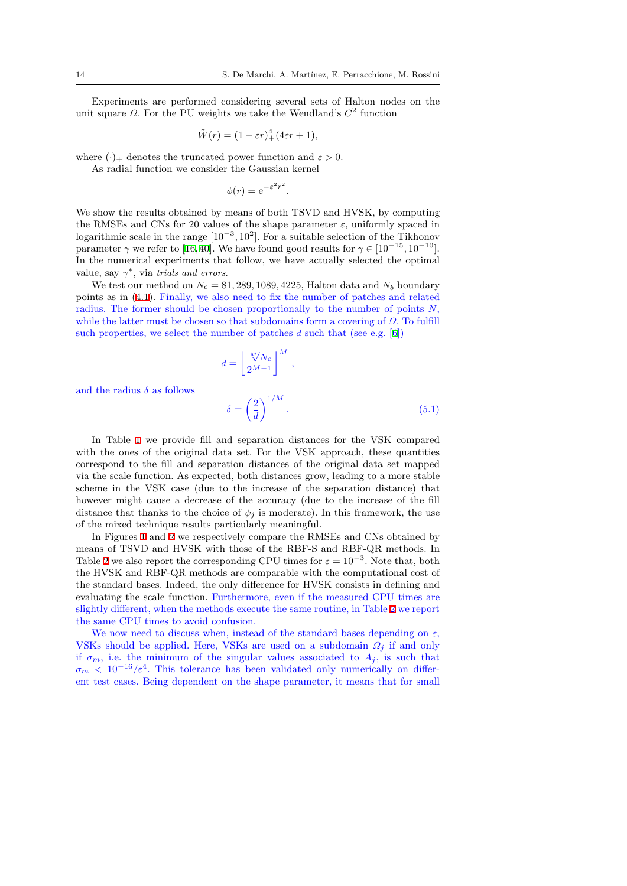Experiments are performed considering several sets of Halton nodes on the unit square *Ω*. For the PU weights we take the Wendland's *C* 2 function

$$
\tilde{W}(r) = (1 - \varepsilon r)^4 + (4\varepsilon r + 1),
$$

where  $(\cdot)_+$  denotes the truncated power function and  $\varepsilon > 0$ . As radial function we consider the Gaussian kernel

 $\phi(r) = e^{-\varepsilon^2 r^2}$ .

We show the results obtained by means of both TSVD and HVSK, by computing the RMSEs and CNs for 20 values of the shape parameter *ε*, uniformly spaced in logarithmic scale in the range  $[10^{-3}, 10^2]$ . For a suitable selection of the Tikhonov parameter  $\gamma$  we refer to [16,40]. We have found good results for  $\gamma \in [10^{-15}, 10^{-10}]$ . In the numerical experiments that follow, we have actually selected the optimal value, say  $\gamma^*$ , via *trials and errors*.

We test our method on  $N_c = 81,289,1089,4225$ , Halton data and  $N_b$  boundary points as in (4.1). Final[ly,](#page-23-11) [we](#page-24-7) also need to fix the number of patches and related radius. The former should be chosen proportionally to the number of points *N*, while the latter must be chosen so that subdomains form a covering of *Ω*. To fulfill such properties, we select the number of patches *d* such that (see e.g. [6])

$$
d = \left\lfloor \frac{\sqrt[M]{N_c}}{2^{M-1}} \right\rfloor^M,
$$

and the radius  $\delta$  as follows

<span id="page-13-0"></span>
$$
\delta = \left(\frac{2}{d}\right)^{1/M}.\tag{5.1}
$$

In Table 1 we provide fill and separation distances for the VSK compared with the ones of the original data set. For the VSK approach, these quantities correspond to the fill and separation distances of the original data set mapped via the scale function. As expected, both distances grow, leading to a more stable scheme in th[e](#page-14-0) VSK case (due to the increase of the separation distance) that however might cause a decrease of the accuracy (due to the increase of the fill distance that thanks to the choice of  $\psi_j$  is moderate). In this framework, the use of the mixed technique results particularly meaningful.

In Figures 1 and 2 we respectively compare the RMSEs and CNs obtained by means of TSVD and HVSK with those of the RBF-S and RBF-QR methods. In Table 2 we also report the corresponding CPU times for  $\varepsilon = 10^{-3}$ . Note that, both the HVSK and RBF-QR methods are comparable with the computational cost of the standard [ba](#page-15-0)ses. I[n](#page-16-0)deed, the only difference for HVSK consists in defining and evaluating the scale function. Furthermore, even if the measured CPU times are slightl[y](#page-17-0) different, when the methods execute the same routine, in Table 2 we report the same CPU times to avoid confusion.

We now need to discuss when, instead of the standard bases depending on  $\varepsilon$ , VSKs should be applied. Here, VSKs are used on a subdomain *Ω<sup>j</sup>* if and only if  $\sigma_m$  $\sigma_m$  $\sigma_m$ , i.e. the minimum of the singular values associated to  $A_j$ , is such that  $\sigma_m$  < 10<sup>-16</sup>/ $\varepsilon^4$ . This tolerance has been validated only numerically on different test cases. Being dependent on the shape parameter, it means that for small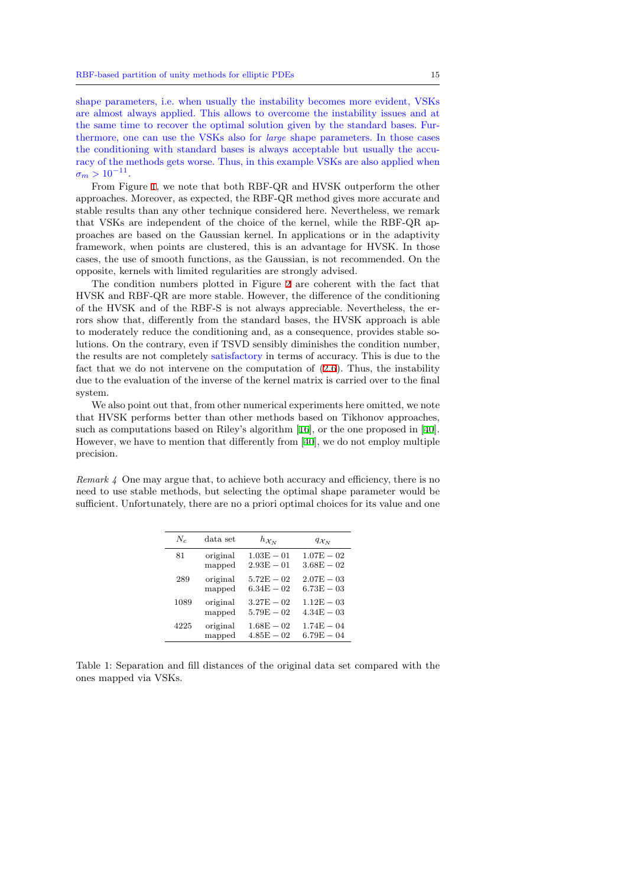shape parameters, i.e. when usually the instability becomes more evident, VSKs are almost always applied. This allows to overcome the instability issues and at the same time to recover the optimal solution given by the standard bases. Furthermore, one can use the VSKs also for *large* shape parameters. In those cases the conditioning with standard bases is always acceptable but usually the accuracy of the methods gets worse. Thus, in this example VSKs are also applied when  $\sigma_m > 10^{-11}$ .

From Figure 1, we note that both RBF-QR and HVSK outperform the other approaches. Moreover, as expected, the RBF-QR method gives more accurate and stable results than any other technique considered here. Nevertheless, we remark that VSKs are independent of the choice of the kernel, while the RBF-QR approaches are bas[ed](#page-15-0) on the Gaussian kernel. In applications or in the adaptivity framework, when points are clustered, this is an advantage for HVSK. In those cases, the use of smooth functions, as the Gaussian, is not recommended. On the opposite, kernels with limited regularities are strongly advised.

The condition numbers plotted in Figure 2 are coherent with the fact that HVSK and RBF-QR are more stable. However, the difference of the conditioning of the HVSK and of the RBF-S is not always appreciable. Nevertheless, the errors show that, differently from the standard bases, the HVSK approach is able to moderately reduce the conditioning and, as [a](#page-16-0) consequence, provides stable solutions. On the contrary, even if TSVD sensibly diminishes the condition number, the results are not completely satisfactory in terms of accuracy. This is due to the fact that we do not intervene on the computation of (2.6). Thus, the instability due to the evaluation of the inverse of the kernel matrix is carried over to the final system.

We also point out that, from other numerical experiments here omitted, we note that HVSK performs better than other methods based [on](#page-5-0) Tikhonov approaches, such as computations based on Riley's algorithm [16], or the one proposed in [40]. However, we have to mention that differently from [40], we do not employ multiple precision.

*Remark 4* One may argue that, to achieve both ac[cur](#page-23-11)acy and efficiency, there i[s n](#page-24-7)o need to use stable methods, but selecting the opti[ma](#page-24-7)l shape parameter would be sufficient. Unfortunately, there are no a priori optimal choices for its value and one

| $N_c$ | data set | $h_{\mathcal{X}_N}$ | $q_{\mathcal{X}_N}$ |
|-------|----------|---------------------|---------------------|
| 81    | original | $1.03E - 01$        | $1.07E - 02$        |
|       | mapped   | $2.93E - 01$        | $3.68E - 02$        |
| 289   | original | $5.72E - 02$        | $2.07E - 0.3$       |
|       | mapped   | $6.34E - 02$        | $6.73E - 03$        |
| 1089  | original | $3.27E - 02$        | $1.12E - 03$        |
|       | mapped   | $5.79E - 02$        | $4.34E - 03$        |
| 4225  | original | $1.68E - 02$        | $1.74E - 04$        |
|       | mapped   | $4.85E - 02$        | $6.79E - 04$        |

<span id="page-14-0"></span>Table 1: Separation and fill distances of the original data set compared with the ones mapped via VSKs.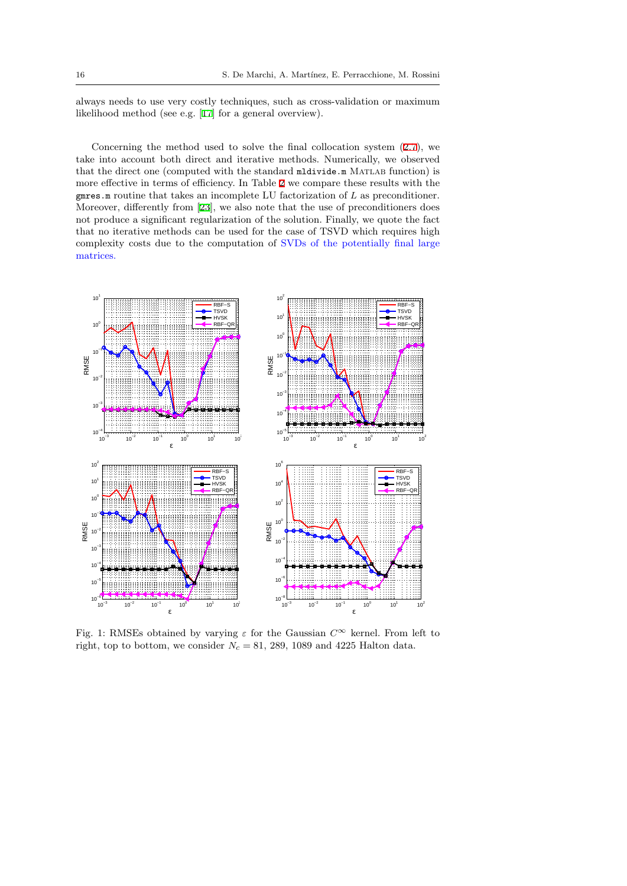always needs to use very costly techniques, such as cross-validation or maximum likelihood method (see e.g. [17] for a general overview).

Concerning the method used to solve the final collocation system  $(2.7)$ , we take into account both direct and iterative methods. Numerically, we observed that the direct one (comput[ed](#page-23-17) with the standard mildivide.m MATLAB function) is more effective in terms of efficiency. In Table 2 we compare these results with the gmres.m routine that takes an incomplete LU factorization of *L* as precon[diti](#page-5-1)oner. Moreover, differently from [23], we also note that the use of preconditioners does not produce a significant regularization of the solution. Finally, we quote the fact that no iterative methods can be used for th[e](#page-17-0) case of TSVD which requires high complexity costs due to the computation of SVDs of the potentially final large matrices.

<span id="page-15-0"></span>

Fig. 1: RMSEs obtained by varying *ε* for the Gaussian *C∞* kernel. From left to right, top to bottom, we consider  $N_c = 81, 289, 1089$  and 4225 Halton data.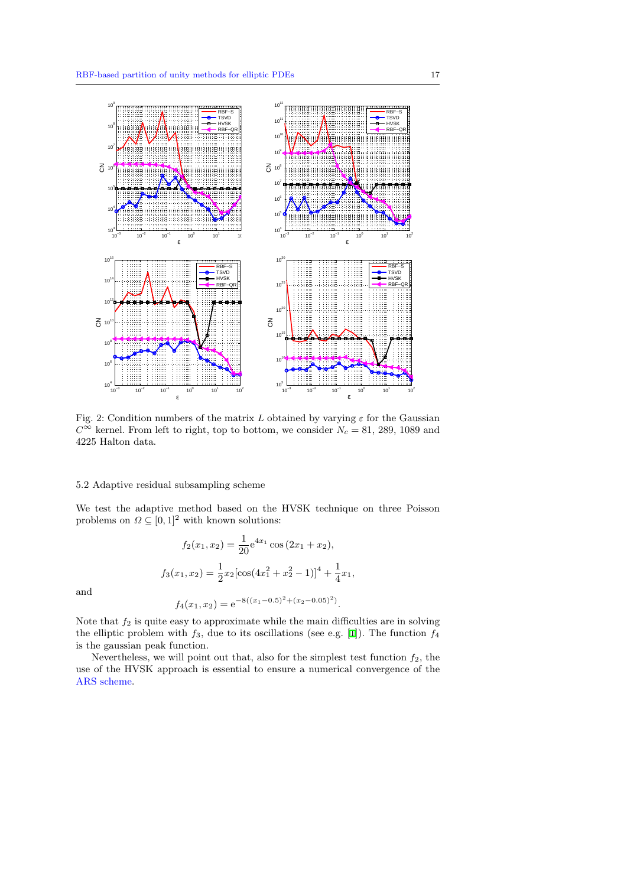<span id="page-16-0"></span>

Fig. 2: Condition numbers of the matrix *L* obtained by varying  $\varepsilon$  for the Gaussian  $C$ <sup>∞</sup> kernel. From left to right, top to bottom, we consider *N*<sup>*c*</sup> = 81, 289, 1089 and 4225 Halton data.

## 5.2 Adaptive residual subsampling scheme

We test the adaptive method based on the HVSK technique on three Poisson problems on  $\Omega \subseteq [0,1]^2$  with known solutions:

$$
f_2(x_1, x_2) = \frac{1}{20} e^{4x_1} \cos(2x_1 + x_2),
$$
  

$$
f_3(x_1, x_2) = \frac{1}{2} x_2 [\cos(4x_1^2 + x_2^2 - 1)]^4 + \frac{1}{4} x_1,
$$

and

$$
f_4(x_1, x_2) = e^{-8((x_1 - 0.5)^2 + (x_2 - 0.05)^2)}.
$$

Note that  $f_2$  is quite easy to approximate while the main difficulties are in solving the elliptic problem with *f*3, due to its oscillations (see e.g. [1]). The function *f*<sup>4</sup> is the gaussian peak function.

Nevertheless, we will point out that, also for the simplest test function *f*2, the use of the HVSK approach is essential to ensure a numerical convergence of the ARS scheme.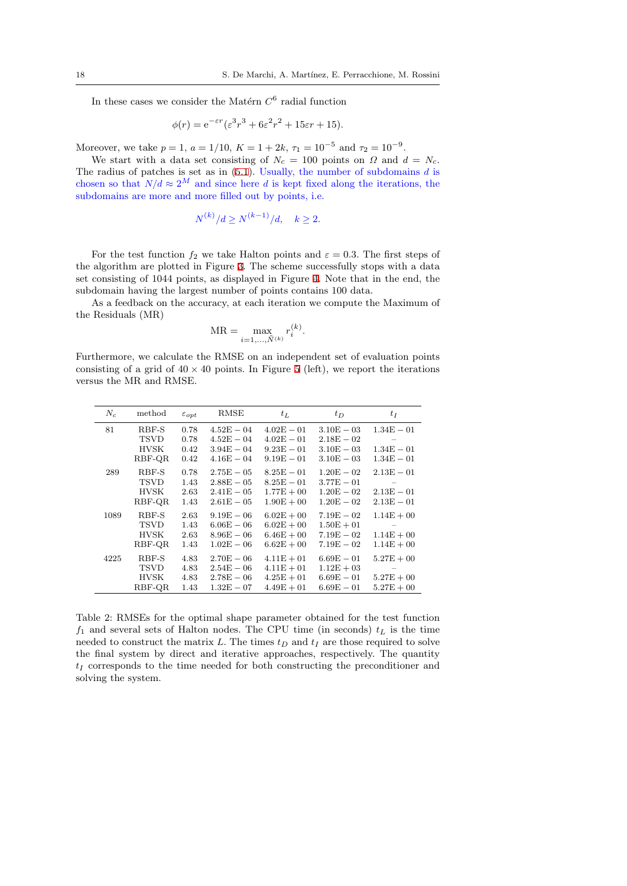In these cases we consider the Matérn  $C^6$  radial function

$$
\phi(r) = e^{-\varepsilon r} (\varepsilon^3 r^3 + 6\varepsilon^2 r^2 + 15\varepsilon r + 15).
$$

Moreover, we take  $p = 1$ ,  $a = 1/10$ ,  $K = 1 + 2k$ ,  $\tau_1 = 10^{-5}$  and  $\tau_2 = 10^{-9}$ .

We start with a data set consisting of  $N_c = 100$  points on  $\Omega$  and  $d = N_c$ . The radius of patches is set as in (5.1). Usually, the number of subdomains *d* is chosen so that  $N/d \approx 2^M$  and since here *d* is kept fixed along the iterations, the subdomains are more and more filled out by points, i.e.

$$
N^{(k)}/d \ge N^{(k-1)}/d, \quad k \ge 2.
$$

For the test function  $f_2$  we take Halton points and  $\varepsilon = 0.3$ . The first steps of the algorithm are plotted in Figure 3. The scheme successfully stops with a data set consisting of 1044 points, as displayed in Figure 4. Note that in the end, the subdomain having the largest number of points contains 100 data.

As a feedback on the accuracy, at each iteration we compute the Maximum of the Residuals (MR)

$$
MR = \max_{i=1,...,\tilde{N}^{(k)}} r_i^{(k)}.
$$

Furthermore, we calculate the RMSE on an independent set of evaluation points consisting of a grid of  $40 \times 40$  points. In Figure 5 (left), we report the iterations versus the MR and RMSE.

<span id="page-17-0"></span>

| $N_c$ | method                                 | $\varepsilon_{opt}$          | RMSE                                                          | $t_L$                                                        | $t_D$                                                        | $t_I$                                        |
|-------|----------------------------------------|------------------------------|---------------------------------------------------------------|--------------------------------------------------------------|--------------------------------------------------------------|----------------------------------------------|
| 81    | RBF-S<br>TSVD<br>HVSK<br>RBF-QR        | 0.78<br>0.78<br>0.42<br>0.42 | $4.52E - 04$<br>$4.52E - 04$<br>$3.94E - 04$<br>$4.16E - 04$  | $4.02E - 01$<br>$4.02E - 01$<br>$9.23E - 01$<br>$9.19E - 01$ | $3.10E - 03$<br>$2.18E - 02$<br>$3.10E - 03$<br>$3.10E - 03$ | $1.34E - 01$<br>$1.34E - 01$<br>$1.34E - 01$ |
| 289   | RBF-S<br>TSVD<br><b>HVSK</b><br>RBF-QR | 0.78<br>1.43<br>2.63<br>1.43 | $2.75E - 05$<br>$2.88E - 05$<br>$2.41E - 05$<br>$2.61E - 0.5$ | $8.25E - 01$<br>$8.25E - 01$<br>$1.77E + 00$<br>$1.90E + 00$ | $1.20E - 02$<br>$3.77E - 01$<br>$1.20E - 02$<br>$1.20E - 02$ | $2.13E - 01$<br>$2.13E - 01$<br>$2.13E - 01$ |
| 1089  | RBF-S<br><b>TSVD</b><br>HVSK<br>RBF-QR | 2.63<br>1.43<br>2.63<br>1.43 | $9.19E - 06$<br>$6.06E - 06$<br>$8.96E - 06$<br>$1.02E - 06$  | $6.02E + 00$<br>$6.02E + 00$<br>$6.46E + 00$<br>$6.62E + 00$ | $7.19E - 02$<br>$1.50E + 01$<br>$7.19E - 02$<br>$7.19E - 02$ | $1.14E + 00$<br>$1.14E + 00$<br>$1.14E + 00$ |
| 4225  | RBF-S<br><b>TSVD</b><br>HVSK<br>RBF-QR | 4.83<br>4.83<br>4.83<br>1.43 | $2.70E - 06$<br>$2.54E - 06$<br>$2.78E - 06$<br>$1.32E - 07$  | $4.11E + 01$<br>$4.11E + 01$<br>$4.25E + 01$<br>$4.49E + 01$ | $6.69E - 01$<br>$1.12E + 03$<br>$6.69E - 01$<br>$6.69E - 01$ | $5.27E + 00$<br>$5.27E + 00$<br>$5.27E + 00$ |

Table 2: RMSEs for the optimal shape parameter obtained for the test function  $f_1$  and several sets of Halton nodes. The CPU time (in seconds)  $t_L$  is the time needed to construct the matrix  $L$ . The times  $t_D$  and  $t_I$  are those required to solve the final system by direct and iterative approaches, respectively. The quantity *t<sup>I</sup>* corresponds to the time needed for both constructing the preconditioner and solving the system.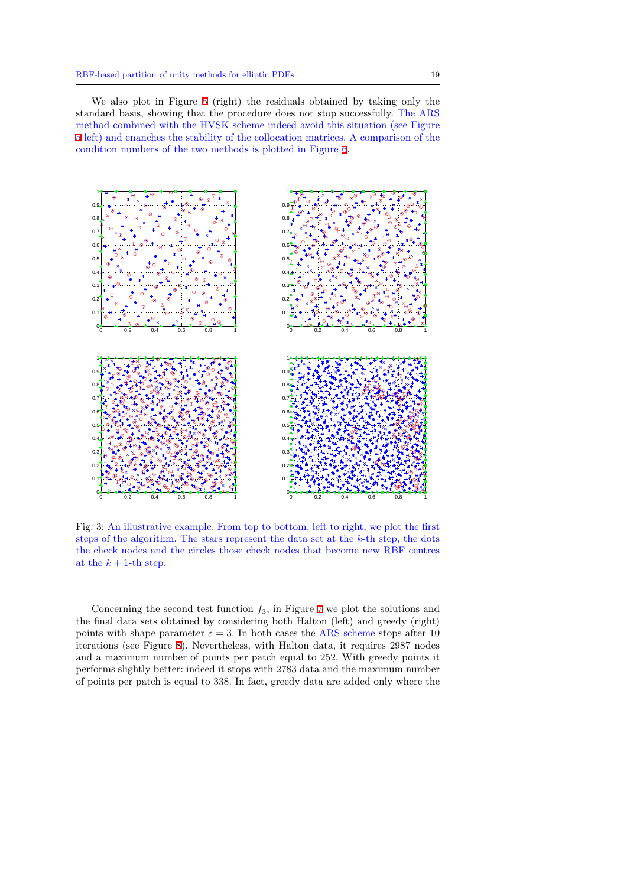We also plot in Figure 5 (right) the residuals obtained by taking only the standard basis, showing that the procedure does not stop successfully. The ARS method combined with the HVSK scheme indeed avoid this situation (see Figure 5 left) and enanches the stability of the collocation matrices. A comparison of the condition numbers of the t[wo](#page-19-0) methods is plotted in Figure 6.



Fig. 3: An illustrative example. From top to bottom, left to right, we plot the first steps of the algorithm. The stars represent the data set at the *k*-th step, the dots the check nodes and the circles those check nodes that become new RBF centres at the  $k + 1$ -th step.

Concerning the second test function *f*3, in Figure 7 we plot the solutions and the final data sets obtained by considering both Halton (left) and greedy (right) points with shape parameter  $\varepsilon = 3$ . In both cases the ARS scheme stops after 10 iterations (see Figure 8). Nevertheless, with Halton data, it requires 2987 nodes and a maximum number of points per patch equal to [2](#page-20-0)52. With greedy points it performs slightly better: indeed it stops with 2783 data and the maximum number of points per patch is equal to 338. In fact, greedy data are added only where the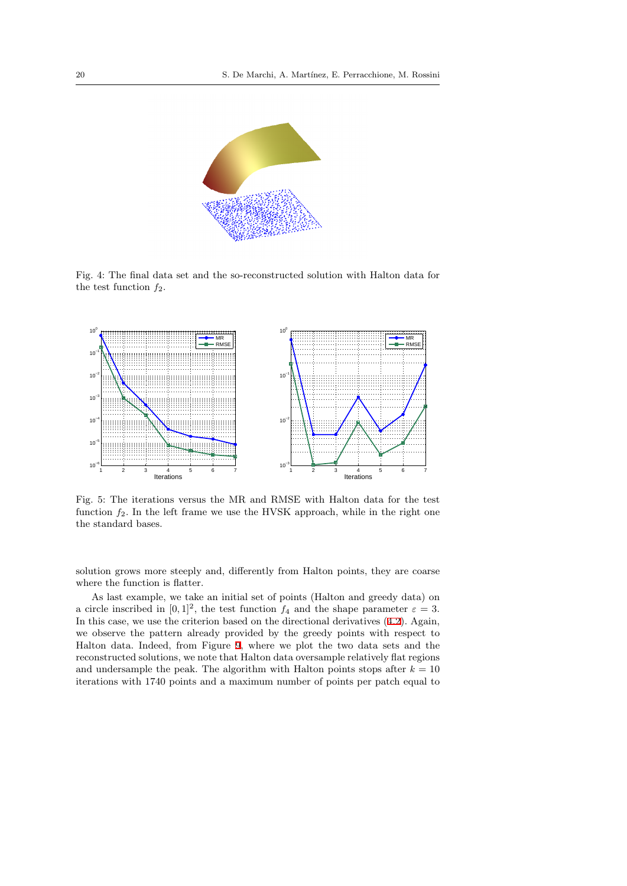

Fig. 4: The final data set and the so-reconstructed solution with Halton data for the test function *f*2.

<span id="page-19-0"></span>

Fig. 5: The iterations versus the MR and RMSE with Halton data for the test function  $f_2$ . In the left frame we use the HVSK approach, while in the right one the standard bases.

solution grows more steeply and, differently from Halton points, they are coarse where the function is flatter.

As last example, we take an initial set of points (Halton and greedy data) on a circle inscribed in  $[0,1]^2$ , the test function  $f_4$  and the shape parameter  $\varepsilon = 3$ . In this case, we use the criterion based on the directional derivatives (4.2). Again, we observe the pattern already provided by the greedy points with respect to Halton data. Indeed, from Figure 9, where we plot the two data sets and the reconstructed solutions, we note that Halton data oversample relatively flat regions and undersample the peak. The algorithm with Halton points stops [afte](#page-11-0)r  $k = 10$ iterations with 1740 points and a maximum number of points per patch equal to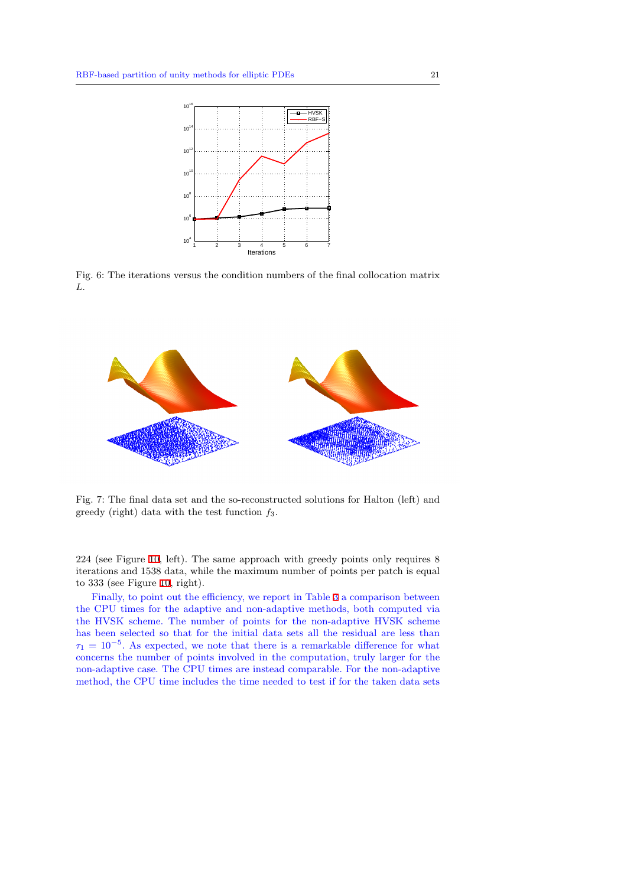

Fig. 6: The iterations versus the condition numbers of the final collocation matrix *L*.

<span id="page-20-0"></span>

Fig. 7: The final data set and the so-reconstructed solutions for Halton (left) and greedy (right) data with the test function *f*3.

224 (see Figure 10, left). The same approach with greedy points only requires 8 iterations and 1538 data, while the maximum number of points per patch is equal to 333 (see Figure 10, right).

Finally, to point out the efficiency, we report in Table 3 a comparison between the CPU times [for](#page-22-0) the adaptive and non-adaptive methods, both computed via the HVSK scheme. The number of points for the non-adaptive HVSK scheme has been selected [so](#page-22-0) that for the initial data sets all the residual are less than *τ*<sup>1</sup> = 10*−*<sup>5</sup> . As expected, we note that there is a remark[ab](#page-22-1)le difference for what concerns the number of points involved in the computation, truly larger for the non-adaptive case. The CPU times are instead comparable. For the non-adaptive method, the CPU time includes the time needed to test if for the taken data sets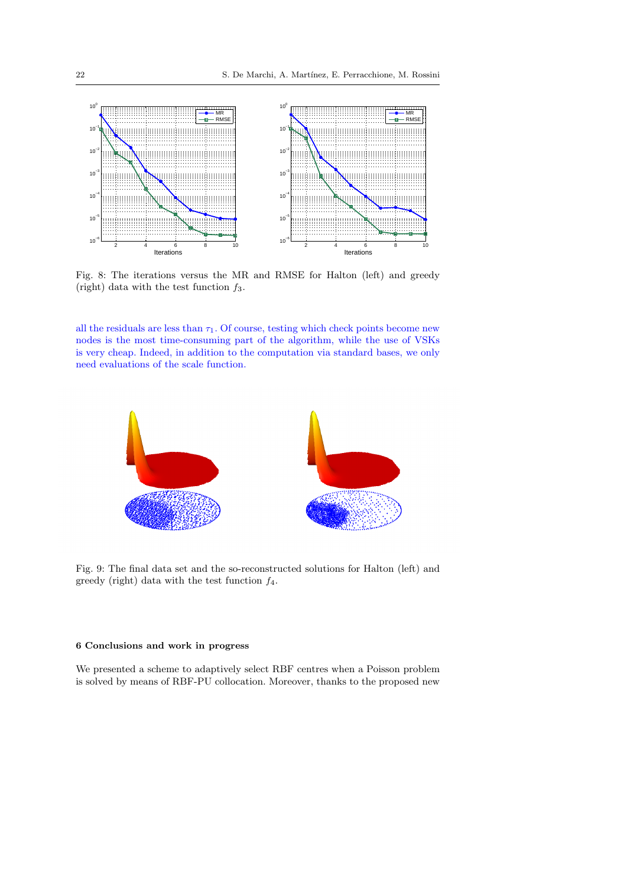

Fig. 8: The iterations versus the MR and RMSE for Halton (left) and greedy (right) data with the test function *f*3.

all the residuals are less than  $\tau_1$ . Of course, testing which check points become new nodes is the most time-consuming part of the algorithm, while the use of VSKs is very cheap. Indeed, in addition to the computation via standard bases, we only need evaluations of the scale function.



Fig. 9: The final data set and the so-reconstructed solutions for Halton (left) and greedy (right) data with the test function *f*4.

# **6 Conclusions and work in progress**

We presented a scheme to adaptively select RBF centres when a Poisson problem is solved by means of RBF-PU collocation. Moreover, thanks to the proposed new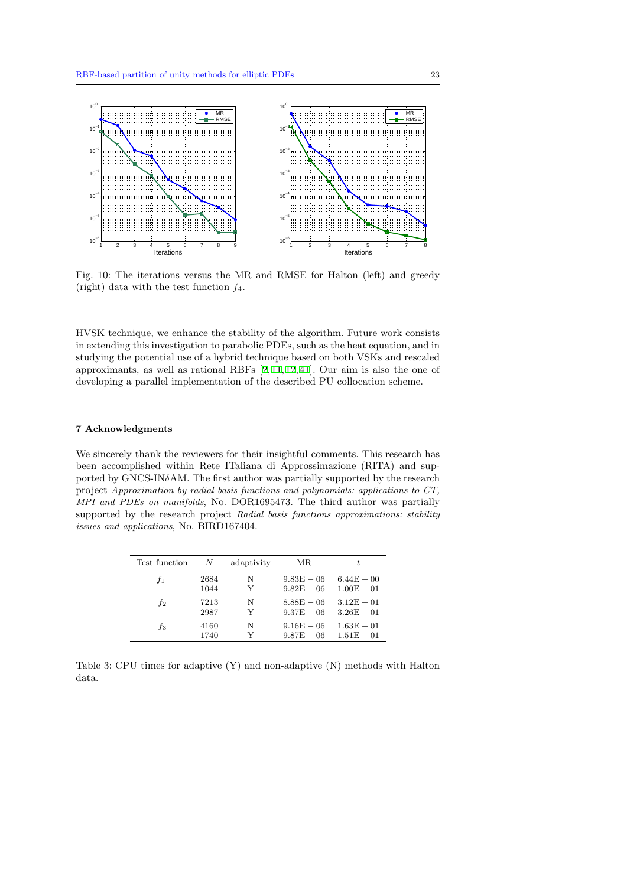<span id="page-22-0"></span>

Fig. 10: The iterations versus the MR and RMSE for Halton (left) and greedy (right) data with the test function *f*4.

HVSK technique, we enhance the stability of the algorithm. Future work consists in extending this investigation to parabolic PDEs, such as the heat equation, and in studying the potential use of a hybrid technique based on both VSKs and rescaled approximants, as well as rational RBFs [2,11,12,41]. Our aim is also the one of developing a parallel implementation of the described PU collocation scheme.

# **7 Acknowledgments**

We sincerely thank the reviewers for their insightful comments. This research has been accomplished within Rete ITaliana di Approssimazione (RITA) and supported by GNCS-IN*δ*AM. The first author was partially supported by the research project *Approximation by radial basis functions and polynomials: applications to CT, MPI and PDEs on manifolds*, No. DOR1695473. The third author was partially supported by the research project *Radial basis functions approximations: stability issues and applications*, No. BIRD167404.

| Test function | N    | adaptivity | MR.          | t.           |
|---------------|------|------------|--------------|--------------|
| $f_1$         | 2684 | N          | $9.83E - 06$ | $6.44E + 00$ |
|               | 1044 | Y          | $9.82E - 06$ | $1.00E + 01$ |
| $f_2$         | 7213 | N          | $8.88E - 06$ | $3.12E + 01$ |
|               | 2987 | Y          | $9.37E - 06$ | $3.26E + 01$ |
| fз            | 4160 | N          | $9.16E - 06$ | $1.63E + 01$ |
|               | 1740 | v          | $9.87E - 06$ | $1.51E + 01$ |

<span id="page-22-1"></span>Table 3: CPU times for adaptive (Y) and non-adaptive (N) methods with Halton data.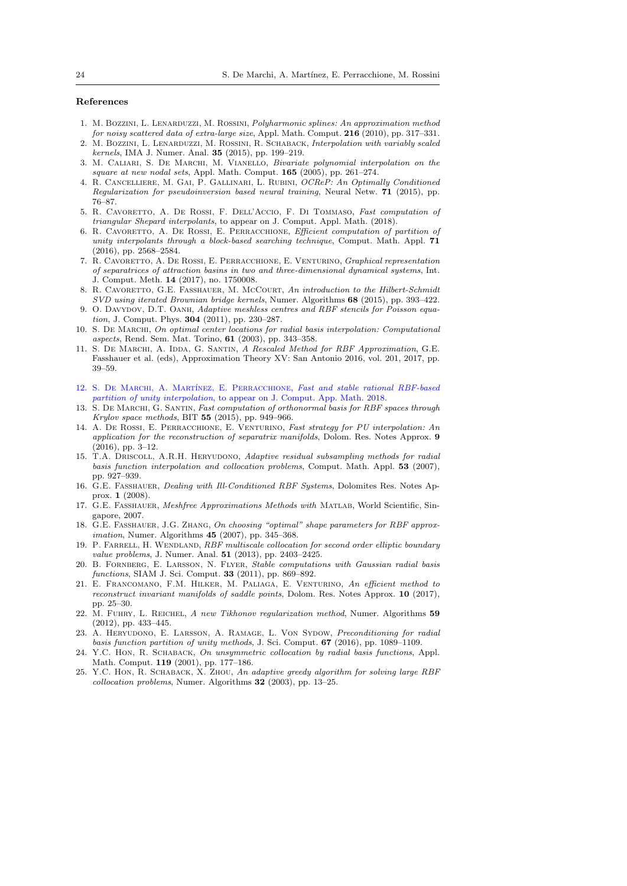# **References**

- 1. M. Bozzini, L. Lenarduzzi, M. Rossini, *Polyharmonic splines: An approximation method for noisy scattered data of extra-large size*, Appl. Math. Comput. **216** (2010), pp. 317–331. 2. M. Bozzini, L. Lenarduzzi, M. Rossini, R. Schaback, *Interpolation with variably scaled*
- <span id="page-23-13"></span>*kernels*, IMA J. Numer. Anal. **35** (2015), pp. 199–219. 3. M. Caliari, S. De Marchi, M. Vianello, *Bivariate polynomial interpolation on the*
- *square at new nodal sets*, Appl. Math. Comput. **165** (2005), pp. 261–274. 4. R. Cancelliere, M. Gai, P. Gallinari, L. Rubini, *OCReP: An Optimally Conditioned*
- <span id="page-23-10"></span>*Regularization for pseudoinversion based neural training*, Neural Netw. **71** (2015), pp. 76–87.
- <span id="page-23-15"></span>5. R. Cavoretto, A. De Rossi, F. Dell'Accio, F. Di Tommaso, *Fast computation of triangular Shepard interpolants*, to appear on J. Comput. Appl. Math. (2018).
- <span id="page-23-14"></span>6. R. Cavoretto, A. De Rossi, E. Perracchione, *Efficient computation of partition of unity interpolants through a block-based searching technique*, Comput. Math. Appl. **71** (2016), pp. 2568–2584.
- 7. R. Cavoretto, A. De Rossi, E. Perracchione, E. Venturino, *Graphical representation of separatrices of attraction basins in two and three-dimensional dynamical systems*, Int. J. Comput. Meth. **14** (2017), no. 1750008.
- <span id="page-23-7"></span>8. R. Cavoretto, G.E. Fasshauer, M. McCourt, *An introduction to the Hilbert-Schmidt SVD using iterated Brownian bridge kernels*, Numer. Algorithms **68** (2015), pp. 393–422.
- <span id="page-23-0"></span>9. O. Davydov, D.T. Oanh, *Adaptive meshless centres and RBF stencils for Poisson equation*, J. Comput. Phys. **304** (2011), pp. 230–287.
- <span id="page-23-4"></span>10. S. De Marchi, *On optimal center locations for radial basis interpolation: Computational aspects*, Rend. Sem. Mat. Torino, **61** (2003), pp. 343–358.
- <span id="page-23-9"></span>11. S. DE MARCHI, A. IDDA, G. SANTIN, *A Rescaled Method for RBF Approximation*, G.E. Fasshauer et al. (eds), Approximation Theory XV: San Antonio 2016, vol. 201, 2017, pp. 39–59.
- 12. S. De Marchi, A. Mart´ınez, E. Perracchione, *Fast and stable rational RBF-based partition of unity interpolation*, to appear on J. Comput. App. Math. 2018.
- <span id="page-23-8"></span>13. S. De Marchi, G. Santin, *Fast computation of orthonormal basis for RBF spaces through Krylov space methods*, BIT **55** (2015), pp. 949–966.
- <span id="page-23-16"></span>14. A. De Rossi, E. Perracchione, E. Venturino, *Fast strategy for PU interpolation: An application for the reconstruction of separatrix manifolds*, Dolom. Res. Notes Approx. **9** (2016), pp. 3–12.
- <span id="page-23-1"></span>15. T.A. Driscoll, A.R.H. Heryudono, *Adaptive residual subsampling methods for radial basis function interpolation and collocation problems*, Comput. Math. Appl. **53** (2007), pp. 927–939.
- <span id="page-23-11"></span>16. G.E. Fasshauer, *Dealing with Ill-Conditioned RBF Systems*, Dolomites Res. Notes Approx. **1** (2008).
- <span id="page-23-17"></span>17. G.E. Fasshauer, *Meshfree Approximations Methods with* Matlab, World Scientific, Singapore, 2007.
- <span id="page-23-5"></span>18. G.E. Fasshauer, J.G. Zhang, *On choosing "optimal" shape parameters for RBF approximation*, Numer. Algorithms **45** (2007), pp. 345–368.
- <span id="page-23-2"></span>19. P. Farrell, H. Wendland, *RBF multiscale collocation for second order elliptic boundary value problems*, J. Numer. Anal. **51** (2013), pp. 2403–2425.
- <span id="page-23-6"></span>20. B. Fornberg, E. Larsson, N. Flyer, *Stable computations with Gaussian radial basis functions*, SIAM J. Sci. Comput. **33** (2011), pp. 869–892.
- 21. E. Francomano, F.M. Hilker, M. Paliaga, E. Venturino, *An efficient method to reconstruct invariant manifolds of saddle points*, Dolom. Res. Notes Approx. **10** (2017), pp. 25–30.
- <span id="page-23-19"></span>22. M. Fuhry, L. Reichel, *A new Tikhonov regularization method*, Numer. Algorithms **59** (2012), pp. 433–445.
- <span id="page-23-12"></span>23. A. Heryudono, E. Larsson, A. Ramage, L. Von Sydow, *Preconditioning for radial basis function partition of unity methods*, J. Sci. Comput. **67** (2016), pp. 1089–1109.
- <span id="page-23-18"></span>24. Y.C. Hon, R. Schaback, *On unsymmetric collocation by radial basis functions*, Appl. Math. Comput. **119** (2001), pp. 177–186.
- <span id="page-23-3"></span>25. Y.C. Hon, R. Schaback, X. Zhou, *An adaptive greedy algorithm for solving large RBF collocation problems*, Numer. Algorithms **32** (2003), pp. 13–25.